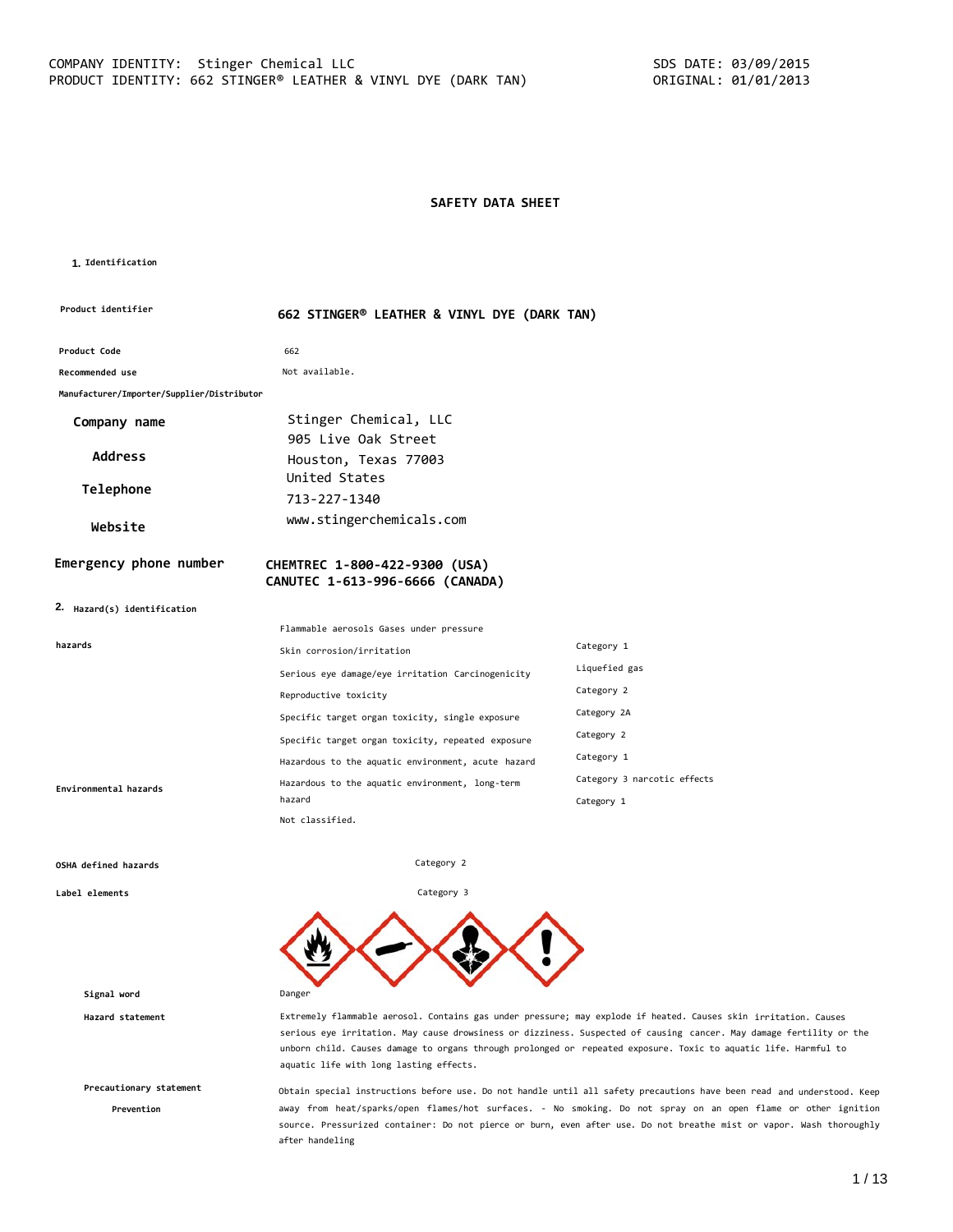#### **SAFETY DATA SHEET**

#### **1. Identification**

| Product identifier                         | 662 STINGER® LEATHER & VINYL DYE (DARK TAN)                      |                             |
|--------------------------------------------|------------------------------------------------------------------|-----------------------------|
| Product Code                               | 662                                                              |                             |
| Recommended use                            | Not available.                                                   |                             |
| Manufacturer/Importer/Supplier/Distributor |                                                                  |                             |
| Company name                               | Stinger Chemical, LLC<br>905 Live Oak Street                     |                             |
| <b>Address</b>                             | Houston, Texas 77003                                             |                             |
| Telephone                                  | United States<br>713-227-1340                                    |                             |
| Website                                    | www.stingerchemicals.com                                         |                             |
| Emergency phone number                     | CHEMTREC 1-800-422-9300 (USA)<br>CANUTEC 1-613-996-6666 (CANADA) |                             |
| 2. Hazard(s) identification                |                                                                  |                             |
|                                            | Flammable aerosols Gases under pressure                          |                             |
| hazards                                    | Skin corrosion/irritation                                        | Category 1                  |
|                                            | Serious eye damage/eye irritation Carcinogenicity                | Liquefied gas               |
|                                            | Reproductive toxicity                                            | Category 2                  |
|                                            | Specific target organ toxicity, single exposure                  | Category 2A                 |
|                                            | Specific target organ toxicity, repeated exposure                | Category 2                  |
|                                            | Hazardous to the aquatic environment, acute hazard               | Category 1                  |
| Environmental hazards                      | Hazardous to the aquatic environment, long-term                  | Category 3 narcotic effects |
|                                            | hazard                                                           | Category 1                  |

Category 2

Category 3

#### **OSHA defined hazards**

**Label elements**

**Signal word** Danger

**Precautionary statement**

**Prevention**

**Hazard statement** Extremely flammable aerosol. Contains gas under pressure; may explode if heated. Causes skin irritation. Causes serious eye irritation. May cause drowsiness or dizziness. Suspected of causing cancer. May damage fertility or the unborn child. Causes damage to organs through prolonged or repeated exposure. Toxic to aquatic life. Harmful to aquatic life with long lasting effects.

> Obtain special instructions before use. Do not handle until all safety precautions have been read and understood. Keep away from heat/sparks/open flames/hot surfaces. - No smoking. Do not spray on an open flame or other ignition source. Pressurized container: Do not pierce or burn, even after use. Do not breathe mist or vapor. Wash thoroughly after handeling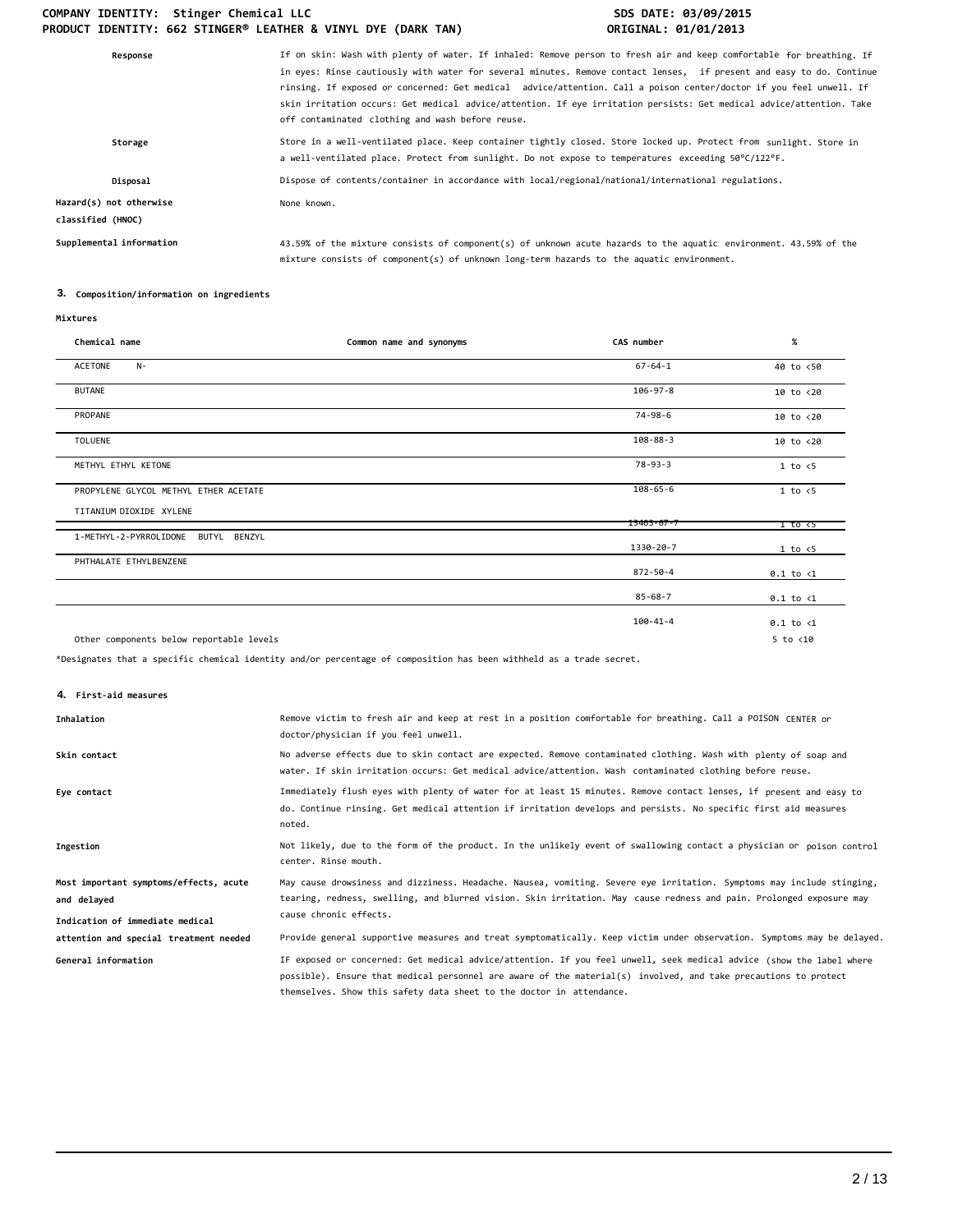| If on skin: Wash with plenty of water. If inhaled: Remove person to fresh air and keep comfortable for breathing. If<br>in eyes: Rinse cautiously with water for several minutes. Remove contact lenses, if present and easy to do. Continue<br>rinsing. If exposed or concerned: Get medical advice/attention. Call a poison center/doctor if you feel unwell. If<br>skin irritation occurs: Get medical advice/attention. If eye irritation persists: Get medical advice/attention. Take<br>off contaminated clothing and wash before reuse. |
|------------------------------------------------------------------------------------------------------------------------------------------------------------------------------------------------------------------------------------------------------------------------------------------------------------------------------------------------------------------------------------------------------------------------------------------------------------------------------------------------------------------------------------------------|
| Store in a well-ventilated place. Keep container tightly closed. Store locked up. Protect from sunlight. Store in<br>a well-ventilated place. Protect from sunlight. Do not expose to temperatures exceeding 50°C/122°F.                                                                                                                                                                                                                                                                                                                       |
| Dispose of contents/container in accordance with local/regional/national/international regulations.                                                                                                                                                                                                                                                                                                                                                                                                                                            |
| None known.                                                                                                                                                                                                                                                                                                                                                                                                                                                                                                                                    |
| 43.59% of the mixture consists of component(s) of unknown acute hazards to the aquatic environment. 43.59% of the<br>mixture consists of component(s) of unknown long-term hazards to the aquatic environment.                                                                                                                                                                                                                                                                                                                                 |
|                                                                                                                                                                                                                                                                                                                                                                                                                                                                                                                                                |

## **3. Composition/information on ingredients**

| Chemical name                            | Common name and synonyms | CAS number       | $\%$                  |
|------------------------------------------|--------------------------|------------------|-----------------------|
| ACETONE<br>$N-$                          |                          | $67 - 64 - 1$    | 40 to <50             |
| <b>BUTANE</b>                            |                          | $106 - 97 - 8$   | $10$ to $\langle 20$  |
| PROPANE                                  |                          | 74-98-6          | 10 to <20             |
| <b>TOLUENE</b>                           |                          | $108 - 88 - 3$   | $10$ to $< 20$        |
| METHYL ETHYL KETONE                      |                          | $78 - 93 - 3$    | 1 to < 5              |
| PROPYLENE GLYCOL METHYL ETHER ACETATE    |                          | $108 - 65 - 6$   | $1$ to $\leq 5$       |
| TITANIUM DIOXIDE XYLENE                  |                          | $13463 - 67 - 7$ | $1$ to $\overline{c}$ |
| 1-METHYL-2-PYRROLIDONE<br>BUTYL BENZYL   |                          | 1330-20-7        | 1 to < 5              |
| PHTHALATE ETHYLBENZENE                   |                          | $872 - 50 - 4$   | $0.1$ to $\langle 1$  |
|                                          |                          | $85 - 68 - 7$    | $0.1$ to $\langle 1$  |
|                                          |                          | $100 - 41 - 4$   | $0.1$ to $\langle 1$  |
| Other components below reportable levels |                          |                  | $5$ to $<$ 10         |

\*Designates that a specific chemical identity and/or percentage of composition has been withheld as a trade secret.

**4. First-aid measures**

| Inhalation                                            | Remove victim to fresh air and keep at rest in a position comfortable for breathing. Call a POISON CENTER or<br>doctor/physician if you feel unwell.                                                                                                                                                            |
|-------------------------------------------------------|-----------------------------------------------------------------------------------------------------------------------------------------------------------------------------------------------------------------------------------------------------------------------------------------------------------------|
| Skin contact                                          | No adverse effects due to skin contact are expected. Remove contaminated clothing. Wash with plenty of soap and<br>water. If skin irritation occurs: Get medical advice/attention. Wash contaminated clothing before reuse.                                                                                     |
| Eye contact                                           | Immediately flush eyes with plenty of water for at least 15 minutes. Remove contact lenses, if present and easy to<br>do. Continue rinsing. Get medical attention if irritation develops and persists. No specific first aid measures<br>noted.                                                                 |
| Ingestion                                             | Not likely, due to the form of the product. In the unlikely event of swallowing contact a physician or poison control<br>center. Rinse mouth.                                                                                                                                                                   |
| Most important symptoms/effects, acute<br>and delayed | May cause drowsiness and dizziness. Headache. Nausea, vomiting. Severe eye irritation. Symptoms may include stinging,<br>tearing, redness, swelling, and blurred vision. Skin irritation. May cause redness and pain. Prolonged exposure may                                                                    |
| Indication of immediate medical                       | cause chronic effects.                                                                                                                                                                                                                                                                                          |
| attention and special treatment needed                | Provide general supportive measures and treat symptomatically. Keep victim under observation. Symptoms may be delayed.                                                                                                                                                                                          |
| General information                                   | IF exposed or concerned: Get medical advice/attention. If you feel unwell, seek medical advice (show the label where<br>possible). Ensure that medical personnel are aware of the material(s) involved, and take precautions to protect<br>themselves. Show this safety data sheet to the doctor in attendance. |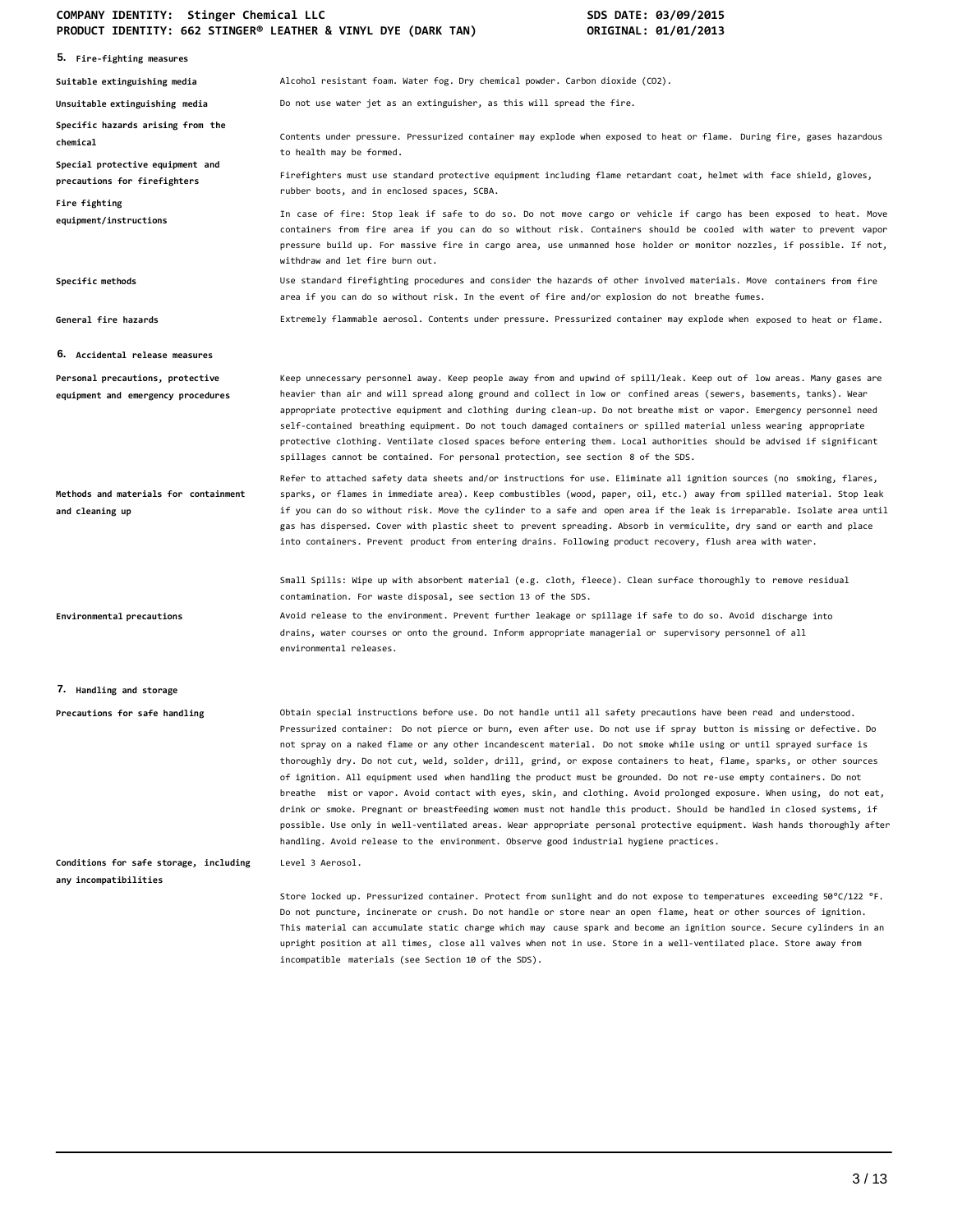| 5. Fire-fighting measures                                              |                                                                                                                                                                                                                                                                                                                                                                                                                                                                                                                                                                                                                                                                                                                                                                                                                                                                                                                                                                                                                                                                                          |
|------------------------------------------------------------------------|------------------------------------------------------------------------------------------------------------------------------------------------------------------------------------------------------------------------------------------------------------------------------------------------------------------------------------------------------------------------------------------------------------------------------------------------------------------------------------------------------------------------------------------------------------------------------------------------------------------------------------------------------------------------------------------------------------------------------------------------------------------------------------------------------------------------------------------------------------------------------------------------------------------------------------------------------------------------------------------------------------------------------------------------------------------------------------------|
| Suitable extinguishing media                                           | Alcohol resistant foam. Water fog. Dry chemical powder. Carbon dioxide (CO2).                                                                                                                                                                                                                                                                                                                                                                                                                                                                                                                                                                                                                                                                                                                                                                                                                                                                                                                                                                                                            |
| Unsuitable extinguishing media                                         | Do not use water jet as an extinguisher, as this will spread the fire.                                                                                                                                                                                                                                                                                                                                                                                                                                                                                                                                                                                                                                                                                                                                                                                                                                                                                                                                                                                                                   |
| Specific hazards arising from the<br>chemical                          | Contents under pressure. Pressurized container may explode when exposed to heat or flame. During fire, gases hazardous<br>to health may be formed.                                                                                                                                                                                                                                                                                                                                                                                                                                                                                                                                                                                                                                                                                                                                                                                                                                                                                                                                       |
| Special protective equipment and<br>precautions for firefighters       | Firefighters must use standard protective equipment including flame retardant coat, helmet with face shield, gloves,<br>rubber boots, and in enclosed spaces, SCBA.                                                                                                                                                                                                                                                                                                                                                                                                                                                                                                                                                                                                                                                                                                                                                                                                                                                                                                                      |
| Fire fighting<br>equipment/instructions                                | In case of fire: Stop leak if safe to do so. Do not move cargo or vehicle if cargo has been exposed to heat. Move<br>containers from fire area if you can do so without risk. Containers should be cooled with water to prevent vapor<br>pressure build up. For massive fire in cargo area, use unmanned hose holder or monitor nozzles, if possible. If not,<br>withdraw and let fire burn out.                                                                                                                                                                                                                                                                                                                                                                                                                                                                                                                                                                                                                                                                                         |
| Specific methods                                                       | Use standard firefighting procedures and consider the hazards of other involved materials. Move containers from fire<br>area if you can do so without risk. In the event of fire and/or explosion do not breathe fumes.                                                                                                                                                                                                                                                                                                                                                                                                                                                                                                                                                                                                                                                                                                                                                                                                                                                                  |
| General fire hazards                                                   | Extremely flammable aerosol. Contents under pressure. Pressurized container may explode when exposed to heat or flame.                                                                                                                                                                                                                                                                                                                                                                                                                                                                                                                                                                                                                                                                                                                                                                                                                                                                                                                                                                   |
| <b>6. Accidental release measures</b>                                  |                                                                                                                                                                                                                                                                                                                                                                                                                                                                                                                                                                                                                                                                                                                                                                                                                                                                                                                                                                                                                                                                                          |
| Personal precautions, protective<br>equipment and emergency procedures | Keep unnecessary personnel away. Keep people away from and upwind of spill/leak. Keep out of low areas. Many gases are<br>heavier than air and will spread along ground and collect in low or confined areas (sewers, basements, tanks). Wear<br>appropriate protective equipment and clothing during clean-up. Do not breathe mist or vapor. Emergency personnel need<br>self-contained breathing equipment. Do not touch damaged containers or spilled material unless wearing appropriate<br>protective clothing. Ventilate closed spaces before entering them. Local authorities should be advised if significant<br>spillages cannot be contained. For personal protection, see section 8 of the SDS.                                                                                                                                                                                                                                                                                                                                                                               |
| Methods and materials for containment<br>and cleaning up               | Refer to attached safety data sheets and/or instructions for use. Eliminate all ignition sources (no smoking, flares,<br>sparks, or flames in immediate area). Keep combustibles (wood, paper, oil, etc.) away from spilled material. Stop leak<br>if you can do so without risk. Move the cylinder to a safe and open area if the leak is irreparable. Isolate area until<br>gas has dispersed. Cover with plastic sheet to prevent spreading. Absorb in vermiculite, dry sand or earth and place<br>into containers. Prevent product from entering drains. Following product recovery, flush area with water.                                                                                                                                                                                                                                                                                                                                                                                                                                                                          |
|                                                                        | Small Spills: Wipe up with absorbent material (e.g. cloth, fleece). Clean surface thoroughly to remove residual<br>contamination. For waste disposal, see section 13 of the SDS.                                                                                                                                                                                                                                                                                                                                                                                                                                                                                                                                                                                                                                                                                                                                                                                                                                                                                                         |
| Environmental precautions                                              | Avoid release to the environment. Prevent further leakage or spillage if safe to do so. Avoid discharge into<br>drains, water courses or onto the ground. Inform appropriate managerial or supervisory personnel of all<br>environmental releases.                                                                                                                                                                                                                                                                                                                                                                                                                                                                                                                                                                                                                                                                                                                                                                                                                                       |
| 7. Handling and storage                                                |                                                                                                                                                                                                                                                                                                                                                                                                                                                                                                                                                                                                                                                                                                                                                                                                                                                                                                                                                                                                                                                                                          |
| Precautions for safe handling                                          | Obtain special instructions before use. Do not handle until all safety precautions have been read and understood.<br>Pressurized container: Do not pierce or burn, even after use. Do not use if spray button is missing or defective. Do<br>not spray on a naked flame or any other incandescent material. Do not smoke while using or until sprayed surface is<br>thoroughly dry. Do not cut, weld, solder, drill, grind, or expose containers to heat, flame, sparks, or other sources<br>of ignition. All equipment used when handling the product must be grounded. Do not re-use empty containers. Do not<br>breathe  mist or vapor. Avoid contact with eyes, skin, and clothing. Avoid prolonged exposure. When using, do not eat,<br>drink or smoke. Pregnant or breastfeeding women must not handle this product. Should be handled in closed systems, if<br>possible. Use only in well-ventilated areas. Wear appropriate personal protective equipment. Wash hands thoroughly after<br>handling. Avoid release to the environment. Observe good industrial hygiene practices. |
| Conditions for safe storage, including<br>any incompatibilities        | Level 3 Aerosol.                                                                                                                                                                                                                                                                                                                                                                                                                                                                                                                                                                                                                                                                                                                                                                                                                                                                                                                                                                                                                                                                         |
|                                                                        | Store locked up. Pressurized container. Protect from sunlight and do not expose to temperatures exceeding 50°C/122 °F.<br>Do not puncture, incinerate or crush. Do not handle or store near an open flame, heat or other sources of ignition.<br>This material can accumulate static charge which may cause spark and become an ignition source. Secure cylinders in an<br>upright position at all times, close all valves when not in use. Store in a well-ventilated place. Store away from<br>incompatible materials (see Section 10 of the SDS).                                                                                                                                                                                                                                                                                                                                                                                                                                                                                                                                     |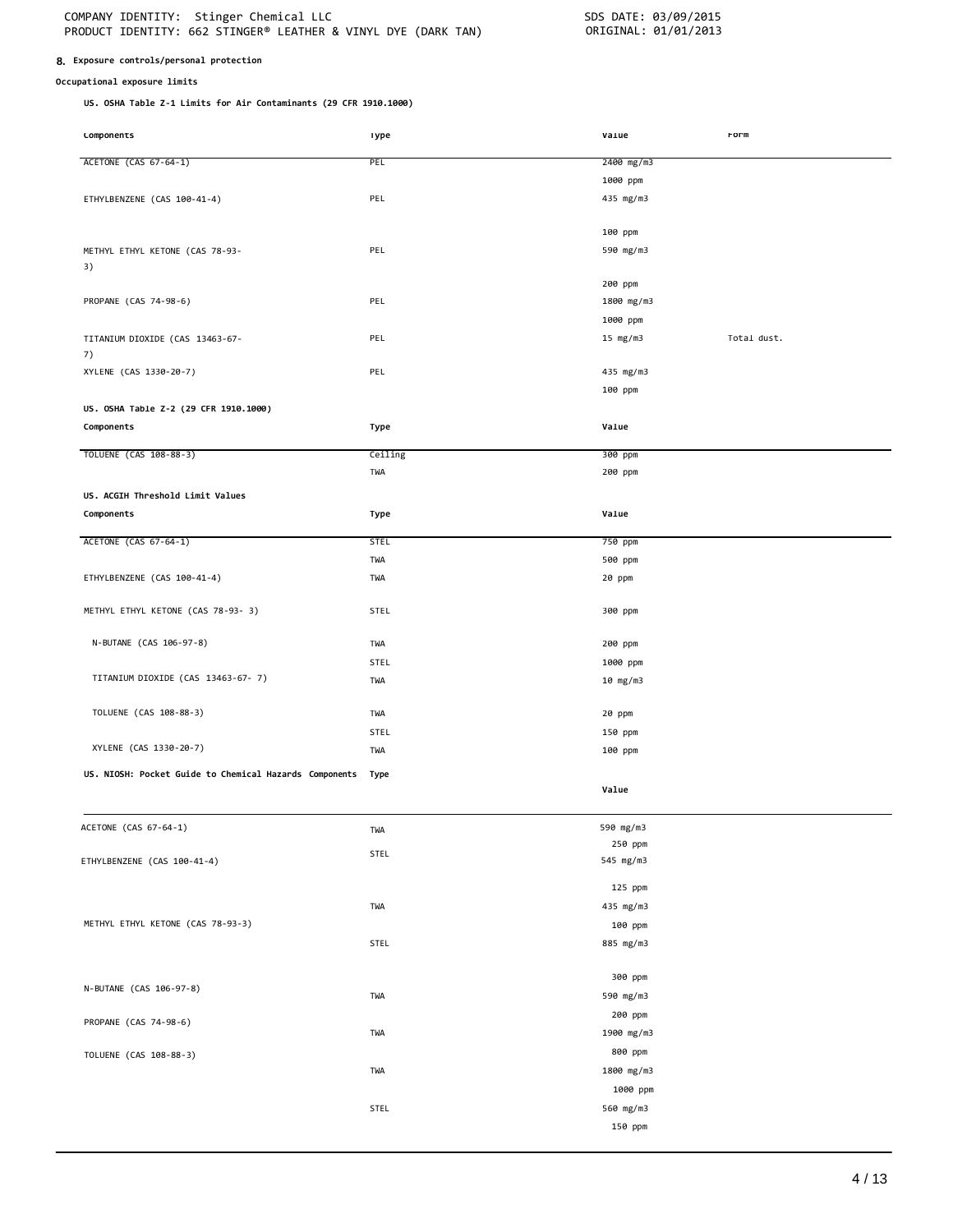#### **8. Exposure controls/personal protection**

#### **Occupational exposure limits**

**US. OSHA Table Z-1 Limits for Air Contaminants (29 CFR 1910.1000)**

| <b>LOMPONENTS</b>                                           | <b>I</b> ype | varue      | rorm        |
|-------------------------------------------------------------|--------------|------------|-------------|
| ACETONE (CAS 67-64-1)                                       | <b>PEL</b>   | 2400 mg/m3 |             |
|                                                             |              | 1000 ppm   |             |
| ETHYLBENZENE (CAS 100-41-4)                                 | PEL          | 435 mg/m3  |             |
|                                                             |              |            |             |
|                                                             |              | 100 ppm    |             |
| METHYL ETHYL KETONE (CAS 78-93-                             | PEL          | 590 mg/m3  |             |
| 3)                                                          |              |            |             |
|                                                             |              | 200 ppm    |             |
| PROPANE (CAS 74-98-6)                                       | PEL          | 1800 mg/m3 |             |
|                                                             |              | 1000 ppm   |             |
| TITANIUM DIOXIDE (CAS 13463-67-                             | PEL          | 15 $mg/m3$ | Total dust. |
| 7)                                                          |              |            |             |
| XYLENE (CAS 1330-20-7)                                      | PEL          | 435 mg/m3  |             |
|                                                             |              | 100 ppm    |             |
| US. OSHA Table Z-2 (29 CFR 1910.1000)                       |              |            |             |
| Components                                                  | Type         | Value      |             |
| TOLUENE (CAS 108-88-3)                                      | Ceiling      | 300 ppm    |             |
|                                                             | TWA          | 200 ppm    |             |
|                                                             |              |            |             |
| US. ACGIH Threshold Limit Values<br>Components              | Type         | Value      |             |
|                                                             |              |            |             |
| ACETONE (CAS 67-64-1)                                       | <b>STEL</b>  | 750 ppm    |             |
|                                                             | TWA          | 500 ppm    |             |
| ETHYLBENZENE (CAS 100-41-4)                                 | TWA          | 20 ppm     |             |
|                                                             |              |            |             |
| METHYL ETHYL KETONE (CAS 78-93- 3)                          | STEL         | 300 ppm    |             |
| N-BUTANE (CAS 106-97-8)                                     | TWA          | 200 ppm    |             |
|                                                             | STEL         | 1000 ppm   |             |
| TITANIUM DIOXIDE (CAS 13463-67-7)                           | TWA          | 10 mg/m3   |             |
|                                                             |              |            |             |
| TOLUENE (CAS 108-88-3)                                      | TWA          | 20 ppm     |             |
|                                                             | <b>STEL</b>  | 150 ppm    |             |
| XYLENE (CAS 1330-20-7)                                      | TWA          | 100 ppm    |             |
| US. NIOSH: Pocket Guide to Chemical Hazards Components Type |              |            |             |
|                                                             |              | Value      |             |
|                                                             |              |            |             |
| ACETONE (CAS 67-64-1)                                       | TWA          | 590 mg/m3  |             |
|                                                             |              | 250 ppm    |             |
| ETHYLBENZENE (CAS 100-41-4)                                 | STEL         | 545 mg/m3  |             |
|                                                             |              | 125 ppm    |             |
|                                                             | TWA          | 435 mg/m3  |             |
| METHYL ETHYL KETONE (CAS 78-93-3)                           |              | 100 ppm    |             |
|                                                             | STEL         | 885 mg/m3  |             |
|                                                             |              |            |             |
|                                                             |              | 300 ppm    |             |
| N-BUTANE (CAS 106-97-8)                                     | TWA          | 590 mg/m3  |             |
|                                                             |              | 200 ppm    |             |
| PROPANE (CAS 74-98-6)                                       | TWA          | 1900 mg/m3 |             |
| TOLUENE (CAS 108-88-3)                                      |              | 800 ppm    |             |
|                                                             | TWA          | 1800 mg/m3 |             |
|                                                             |              | 1000 ppm   |             |
|                                                             | STEL         | 560 mg/m3  |             |

150 ppm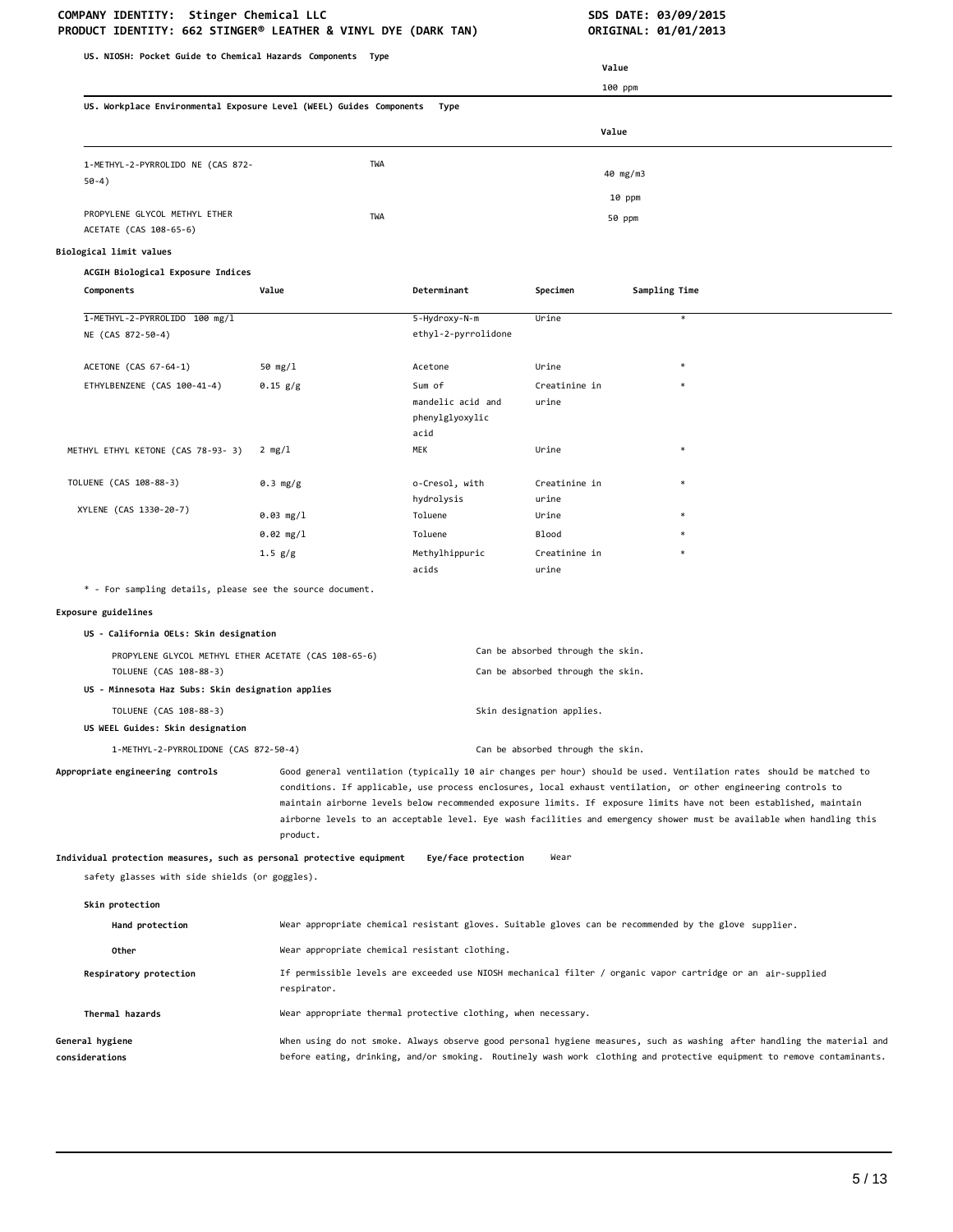# **COMPANY IDENTITY: Stinger Chemical LLC SDS DATE: 03/09/2015**

| US. NIOSH: Pocket Guide to Chemical Hazards Components Type                                                             |                                               |                                                               |                                                                        |                                                                                                                                                                                                                                                                                                                                                                                                                                                                                      |
|-------------------------------------------------------------------------------------------------------------------------|-----------------------------------------------|---------------------------------------------------------------|------------------------------------------------------------------------|--------------------------------------------------------------------------------------------------------------------------------------------------------------------------------------------------------------------------------------------------------------------------------------------------------------------------------------------------------------------------------------------------------------------------------------------------------------------------------------|
| Value<br>100 ppm<br>US. Workplace Environmental Exposure Level (WEEL) Guides Components                                 |                                               |                                                               |                                                                        |                                                                                                                                                                                                                                                                                                                                                                                                                                                                                      |
|                                                                                                                         |                                               |                                                               |                                                                        |                                                                                                                                                                                                                                                                                                                                                                                                                                                                                      |
|                                                                                                                         |                                               | Type                                                          |                                                                        |                                                                                                                                                                                                                                                                                                                                                                                                                                                                                      |
|                                                                                                                         |                                               |                                                               | Value                                                                  |                                                                                                                                                                                                                                                                                                                                                                                                                                                                                      |
| 1-METHYL-2-PYRROLIDO NE (CAS 872-<br>$50-4)$                                                                            | TWA                                           |                                                               |                                                                        | 40 mg/m3                                                                                                                                                                                                                                                                                                                                                                                                                                                                             |
|                                                                                                                         |                                               |                                                               |                                                                        | 10 ppm                                                                                                                                                                                                                                                                                                                                                                                                                                                                               |
| PROPYLENE GLYCOL METHYL ETHER<br>ACETATE (CAS 108-65-6)                                                                 | TWA                                           |                                                               |                                                                        | 50 ppm                                                                                                                                                                                                                                                                                                                                                                                                                                                                               |
| Biological limit values                                                                                                 |                                               |                                                               |                                                                        |                                                                                                                                                                                                                                                                                                                                                                                                                                                                                      |
| ACGIH Biological Exposure Indices                                                                                       |                                               |                                                               |                                                                        |                                                                                                                                                                                                                                                                                                                                                                                                                                                                                      |
| Components                                                                                                              | Value                                         | Determinant                                                   | Specimen                                                               | Sampling Time                                                                                                                                                                                                                                                                                                                                                                                                                                                                        |
| 1-METHYL-2-PYRROLIDO 100 mg/1                                                                                           |                                               | 5-Hydroxy-N-m                                                 | Urine                                                                  | $\ast$                                                                                                                                                                                                                                                                                                                                                                                                                                                                               |
| NE (CAS 872-50-4)                                                                                                       |                                               | ethyl-2-pyrrolidone                                           |                                                                        |                                                                                                                                                                                                                                                                                                                                                                                                                                                                                      |
| ACETONE (CAS 67-64-1)                                                                                                   | 50 mg/l                                       | Acetone                                                       | Urine                                                                  |                                                                                                                                                                                                                                                                                                                                                                                                                                                                                      |
| ETHYLBENZENE (CAS 100-41-4)                                                                                             | $0.15$ $g/g$                                  | Sum of                                                        | Creatinine in                                                          |                                                                                                                                                                                                                                                                                                                                                                                                                                                                                      |
|                                                                                                                         |                                               | mandelic acid and<br>phenylglyoxylic<br>acid                  | urine                                                                  |                                                                                                                                                                                                                                                                                                                                                                                                                                                                                      |
| METHYL ETHYL KETONE (CAS 78-93- 3)                                                                                      | 2 mg/l                                        | MEK                                                           | Urine                                                                  |                                                                                                                                                                                                                                                                                                                                                                                                                                                                                      |
|                                                                                                                         |                                               |                                                               |                                                                        |                                                                                                                                                                                                                                                                                                                                                                                                                                                                                      |
| TOLUENE (CAS 108-88-3)                                                                                                  | 0.3 mg/g                                      | o-Cresol, with<br>hydrolysis                                  | Creatinine in<br>urine                                                 |                                                                                                                                                                                                                                                                                                                                                                                                                                                                                      |
| XYLENE (CAS 1330-20-7)                                                                                                  | 0.03 mg/1                                     | Toluene                                                       | Urine                                                                  |                                                                                                                                                                                                                                                                                                                                                                                                                                                                                      |
|                                                                                                                         | $0.02$ mg/l                                   | Toluene                                                       | <b>Blood</b>                                                           |                                                                                                                                                                                                                                                                                                                                                                                                                                                                                      |
|                                                                                                                         | 1.5 g/g                                       | Methylhippuric                                                | Creatinine in                                                          |                                                                                                                                                                                                                                                                                                                                                                                                                                                                                      |
|                                                                                                                         |                                               | acids                                                         | urine                                                                  |                                                                                                                                                                                                                                                                                                                                                                                                                                                                                      |
| * - For sampling details, please see the source document.                                                               |                                               |                                                               |                                                                        |                                                                                                                                                                                                                                                                                                                                                                                                                                                                                      |
| Exposure guidelines                                                                                                     |                                               |                                                               |                                                                        |                                                                                                                                                                                                                                                                                                                                                                                                                                                                                      |
| US - California OELs: Skin designation                                                                                  |                                               |                                                               |                                                                        |                                                                                                                                                                                                                                                                                                                                                                                                                                                                                      |
| PROPYLENE GLYCOL METHYL ETHER ACETATE (CAS 108-65-6)<br>TOLUENE (CAS 108-88-3)                                          |                                               |                                                               | Can be absorbed through the skin.<br>Can be absorbed through the skin. |                                                                                                                                                                                                                                                                                                                                                                                                                                                                                      |
| US - Minnesota Haz Subs: Skin designation applies                                                                       |                                               |                                                               |                                                                        |                                                                                                                                                                                                                                                                                                                                                                                                                                                                                      |
| TOLUENE (CAS 108-88-3)                                                                                                  |                                               |                                                               | Skin designation applies.                                              |                                                                                                                                                                                                                                                                                                                                                                                                                                                                                      |
| US WEEL Guides: Skin designation                                                                                        |                                               |                                                               |                                                                        |                                                                                                                                                                                                                                                                                                                                                                                                                                                                                      |
| 1-METHYL-2-PYRROLIDONE (CAS 872-50-4)                                                                                   |                                               |                                                               | Can be absorbed through the skin.                                      |                                                                                                                                                                                                                                                                                                                                                                                                                                                                                      |
| Appropriate engineering controls                                                                                        | product.                                      |                                                               |                                                                        | Good general ventilation (typically 10 air changes per hour) should be used. Ventilation rates should be matched to<br>conditions. If applicable, use process enclosures, local exhaust ventilation, or other engineering controls to<br>maintain airborne levels below recommended exposure limits. If exposure limits have not been established, maintain<br>airborne levels to an acceptable level. Eye wash facilities and emergency shower must be available when handling this |
| Individual protection measures, such as personal protective equipment<br>safety glasses with side shields (or goggles). |                                               | Eye/face protection                                           | Wear                                                                   |                                                                                                                                                                                                                                                                                                                                                                                                                                                                                      |
|                                                                                                                         |                                               |                                                               |                                                                        |                                                                                                                                                                                                                                                                                                                                                                                                                                                                                      |
| Skin protection<br>Hand protection                                                                                      |                                               |                                                               |                                                                        | Wear appropriate chemical resistant gloves. Suitable gloves can be recommended by the glove supplier.                                                                                                                                                                                                                                                                                                                                                                                |
| Other                                                                                                                   | Wear appropriate chemical resistant clothing. |                                                               |                                                                        |                                                                                                                                                                                                                                                                                                                                                                                                                                                                                      |
| Respiratory protection                                                                                                  | respirator.                                   |                                                               |                                                                        | If permissible levels are exceeded use NIOSH mechanical filter / organic vapor cartridge or an air-supplied                                                                                                                                                                                                                                                                                                                                                                          |
| Thermal hazards                                                                                                         |                                               | Wear appropriate thermal protective clothing, when necessary. |                                                                        |                                                                                                                                                                                                                                                                                                                                                                                                                                                                                      |
|                                                                                                                         |                                               |                                                               |                                                                        |                                                                                                                                                                                                                                                                                                                                                                                                                                                                                      |
| General hygiene<br>considerations                                                                                       |                                               |                                                               |                                                                        | When using do not smoke. Always observe good personal hygiene measures, such as washing after handling the material and<br>before eating, drinking, and/or smoking. Routinely wash work clothing and protective equipment to remove contaminants.                                                                                                                                                                                                                                    |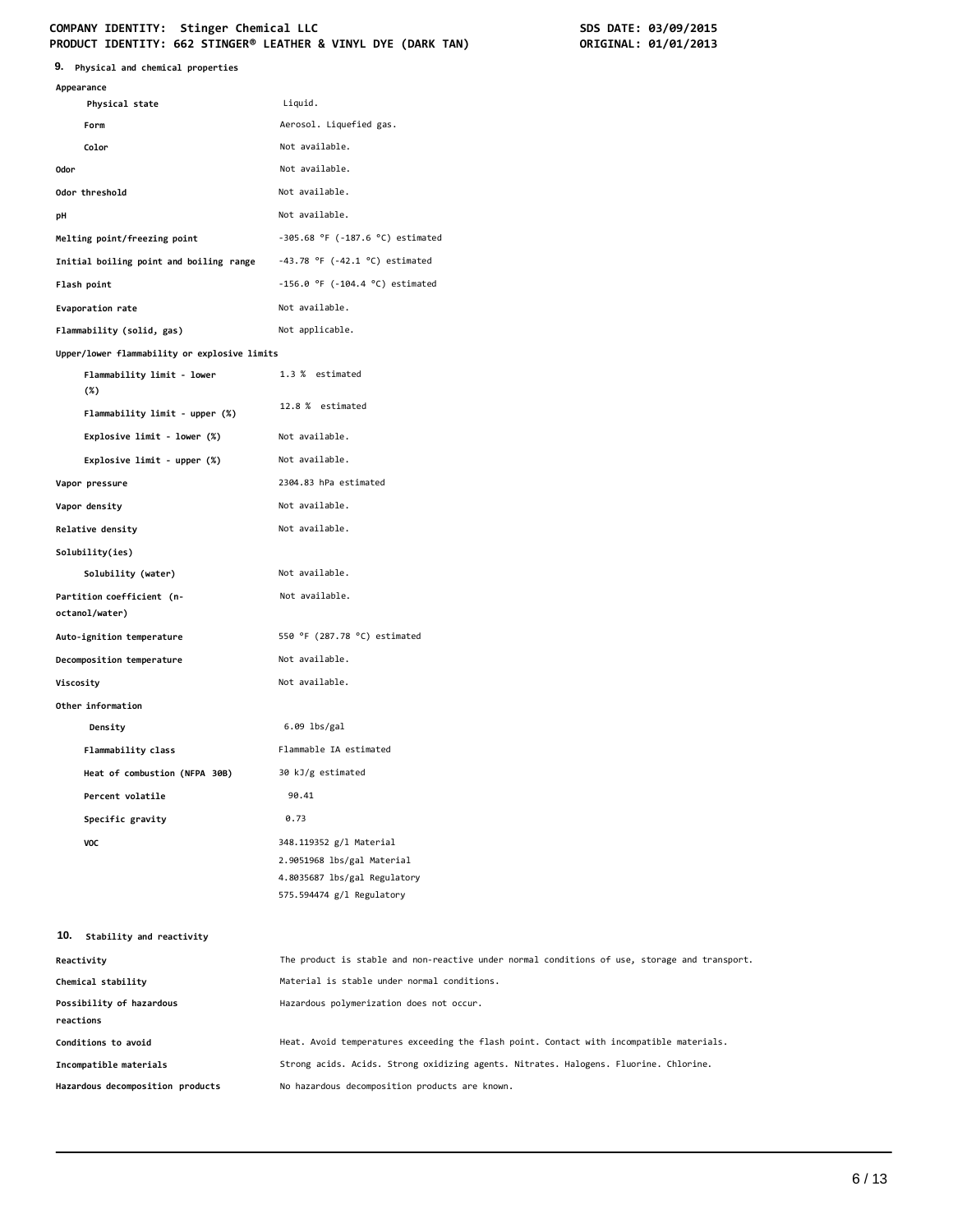| 9. Physical and chemical properties          |                                                                                               |
|----------------------------------------------|-----------------------------------------------------------------------------------------------|
| Appearance                                   |                                                                                               |
| Physical state                               | Liquid.                                                                                       |
| Form                                         | Aerosol. Liquefied gas.                                                                       |
| Color                                        | Not available.                                                                                |
| 0dor                                         | Not available.                                                                                |
| Odor threshold                               | Not available.                                                                                |
| рH                                           | Not available.                                                                                |
| Melting point/freezing point                 | $-305.68$ °F ( $-187.6$ °C) estimated                                                         |
| Initial boiling point and boiling range      | $-43.78$ °F ( $-42.1$ °C) estimated                                                           |
| Flash point                                  | $-156.0$ °F ( $-104.4$ °C) estimated                                                          |
| Evaporation rate                             | Not available.                                                                                |
| Flammability (solid, gas)                    | Not applicable.                                                                               |
| Upper/lower flammability or explosive limits |                                                                                               |
| Flammability limit - lower<br>(%)            | 1.3 % estimated                                                                               |
| Flammability limit - upper (%)               | 12.8 % estimated                                                                              |
| Explosive limit - lower (%)                  | Not available.                                                                                |
| Explosive limit - upper (%)                  | Not available.                                                                                |
| Vapor pressure                               | 2304.83 hPa estimated                                                                         |
| Vapor density                                | Not available.                                                                                |
| Relative density                             | Not available.                                                                                |
| Solubility(ies)                              |                                                                                               |
| Solubility (water)                           | Not available.                                                                                |
| Partition coefficient (n-<br>octanol/water)  | Not available.                                                                                |
| Auto-ignition temperature                    | 550 °F (287.78 °C) estimated                                                                  |
| Decomposition temperature                    | Not available.                                                                                |
| Viscosity                                    | Not available.                                                                                |
| Other information                            |                                                                                               |
| Density                                      | $6.09$ lbs/gal                                                                                |
| Flammability class                           | Flammable IA estimated                                                                        |
| Heat of combustion (NFPA 30B)                | 30 kJ/g estimated                                                                             |
| Percent volatile                             | 90.41                                                                                         |
| Specific gravity                             | 0.73                                                                                          |
| VOC                                          | 348.119352 g/l Material                                                                       |
|                                              | 2.9051968 lbs/gal Material                                                                    |
|                                              | 4.8035687 lbs/gal Regulatory                                                                  |
|                                              | 575.594474 g/l Regulatory                                                                     |
| 10. Stability and reactivity                 |                                                                                               |
| Reactivity                                   | The product is stable and non-reactive under normal conditions of use, storage and transport. |
| Chemical stability                           | Material is stable under normal conditions.                                                   |
| Possibility of hazardous                     | Hazardous polymerization does not occur.                                                      |
| reactions                                    |                                                                                               |
| Conditions to avoid                          | Heat. Avoid temperatures exceeding the flash point. Contact with incompatible materials.      |
| Incompatible materials                       | Strong acids. Acids. Strong oxidizing agents. Nitrates. Halogens. Fluorine. Chlorine.         |
| Hazardous decomposition products             | No hazardous decomposition products are known.                                                |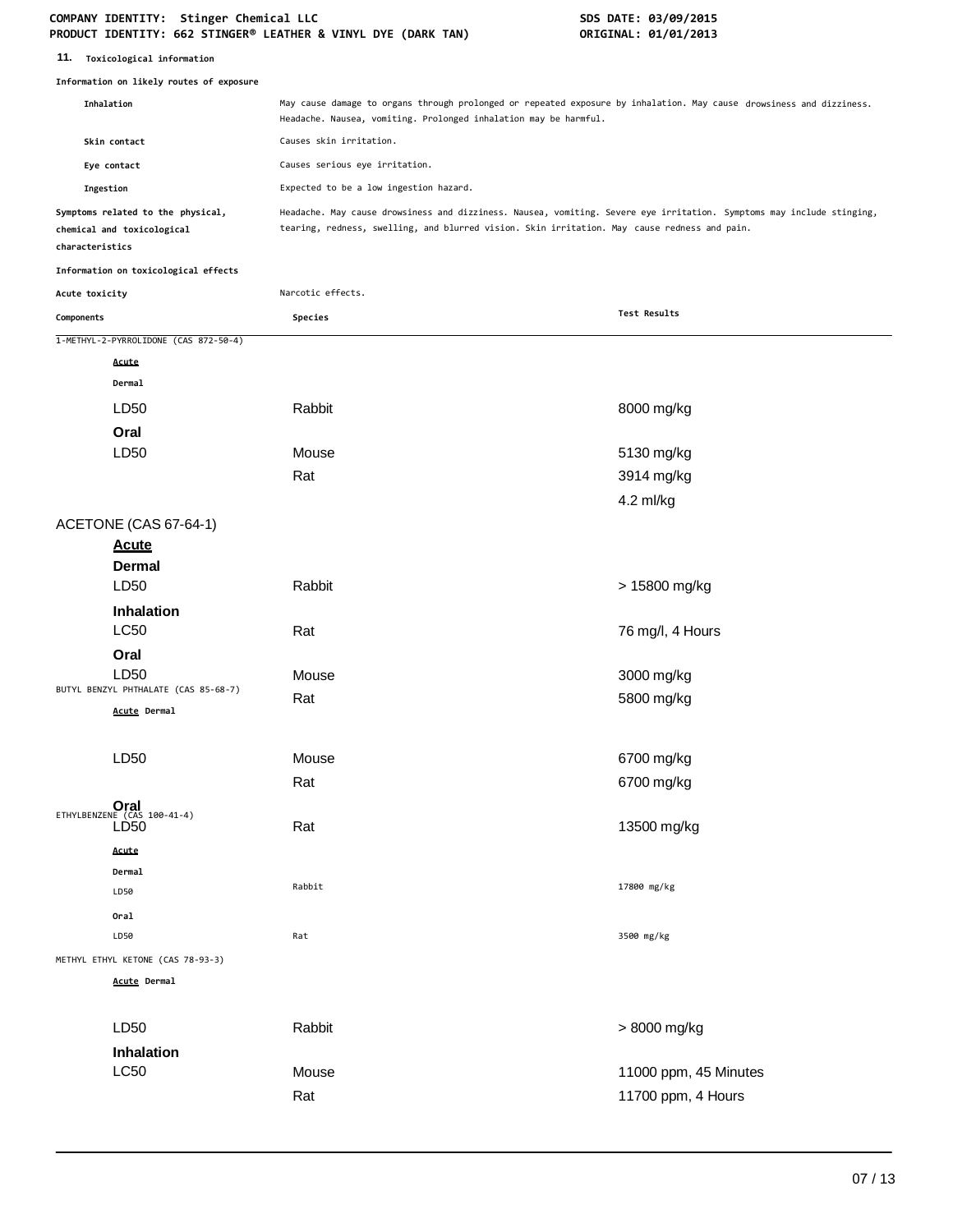| 11. | Toxicological information |  |
|-----|---------------------------|--|
|-----|---------------------------|--|

|                 | Information on likely routes of exposure                        |                                                                                                                                                                                                                       |                       |
|-----------------|-----------------------------------------------------------------|-----------------------------------------------------------------------------------------------------------------------------------------------------------------------------------------------------------------------|-----------------------|
|                 | Inhalation                                                      | May cause damage to organs through prolonged or repeated exposure by inhalation. May cause drowsiness and dizziness.<br>Headache. Nausea, vomiting. Prolonged inhalation may be harmful.                              |                       |
| Skin contact    |                                                                 | Causes skin irritation.                                                                                                                                                                                               |                       |
|                 | Eye contact                                                     | Causes serious eye irritation.                                                                                                                                                                                        |                       |
| Ingestion       |                                                                 | Expected to be a low ingestion hazard.                                                                                                                                                                                |                       |
| characteristics | Symptoms related to the physical,<br>chemical and toxicological | Headache. May cause drowsiness and dizziness. Nausea, vomiting. Severe eye irritation. Symptoms may include stinging,<br>tearing, redness, swelling, and blurred vision. Skin irritation. May cause redness and pain. |                       |
|                 | Information on toxicological effects                            |                                                                                                                                                                                                                       |                       |
| Acute toxicity  |                                                                 | Narcotic effects.                                                                                                                                                                                                     |                       |
| Components      |                                                                 | Species                                                                                                                                                                                                               | Test Results          |
|                 | 1-METHYL-2-PYRROLIDONE (CAS 872-50-4)                           |                                                                                                                                                                                                                       |                       |
|                 | Acute                                                           |                                                                                                                                                                                                                       |                       |
|                 | Dermal                                                          |                                                                                                                                                                                                                       |                       |
|                 | LD50                                                            | Rabbit                                                                                                                                                                                                                | 8000 mg/kg            |
|                 | Oral                                                            |                                                                                                                                                                                                                       |                       |
|                 | LD50                                                            | Mouse                                                                                                                                                                                                                 | 5130 mg/kg            |
|                 |                                                                 | Rat                                                                                                                                                                                                                   | 3914 mg/kg            |
|                 |                                                                 |                                                                                                                                                                                                                       | 4.2 ml/kg             |
|                 | ACETONE (CAS 67-64-1)                                           |                                                                                                                                                                                                                       |                       |
|                 | <b>Acute</b>                                                    |                                                                                                                                                                                                                       |                       |
|                 | <b>Dermal</b>                                                   |                                                                                                                                                                                                                       |                       |
|                 | LD50                                                            | Rabbit                                                                                                                                                                                                                | > 15800 mg/kg         |
|                 | Inhalation<br><b>LC50</b>                                       | Rat                                                                                                                                                                                                                   | 76 mg/l, 4 Hours      |
|                 | Oral                                                            |                                                                                                                                                                                                                       |                       |
|                 | LD50                                                            | Mouse                                                                                                                                                                                                                 | 3000 mg/kg            |
|                 | BUTYL BENZYL PHTHALATE (CAS 85-68-7)<br>Acute Dermal            | Rat                                                                                                                                                                                                                   | 5800 mg/kg            |
|                 | LD50                                                            | Mouse                                                                                                                                                                                                                 | 6700 mg/kg            |
|                 |                                                                 | Rat                                                                                                                                                                                                                   | 6700 mg/kg            |
|                 |                                                                 |                                                                                                                                                                                                                       |                       |
|                 | ETHYLBENZENE (CAS 100-41-4)<br>LD <sub>50</sub>                 | Rat                                                                                                                                                                                                                   | 13500 mg/kg           |
|                 | Acute                                                           |                                                                                                                                                                                                                       |                       |
|                 | Dermal                                                          | Rabbit                                                                                                                                                                                                                | 17800 mg/kg           |
|                 | LD50                                                            |                                                                                                                                                                                                                       |                       |
|                 | Oral                                                            |                                                                                                                                                                                                                       |                       |
|                 | LD50                                                            | Rat                                                                                                                                                                                                                   | 3500 mg/kg            |
|                 | METHYL ETHYL KETONE (CAS 78-93-3)                               |                                                                                                                                                                                                                       |                       |
|                 | <b>Acute Dermal</b>                                             |                                                                                                                                                                                                                       |                       |
|                 | LD50                                                            | Rabbit                                                                                                                                                                                                                | > 8000 mg/kg          |
|                 | Inhalation                                                      |                                                                                                                                                                                                                       |                       |
|                 | <b>LC50</b>                                                     | Mouse                                                                                                                                                                                                                 | 11000 ppm, 45 Minutes |
|                 |                                                                 | Rat                                                                                                                                                                                                                   | 11700 ppm, 4 Hours    |
|                 |                                                                 |                                                                                                                                                                                                                       |                       |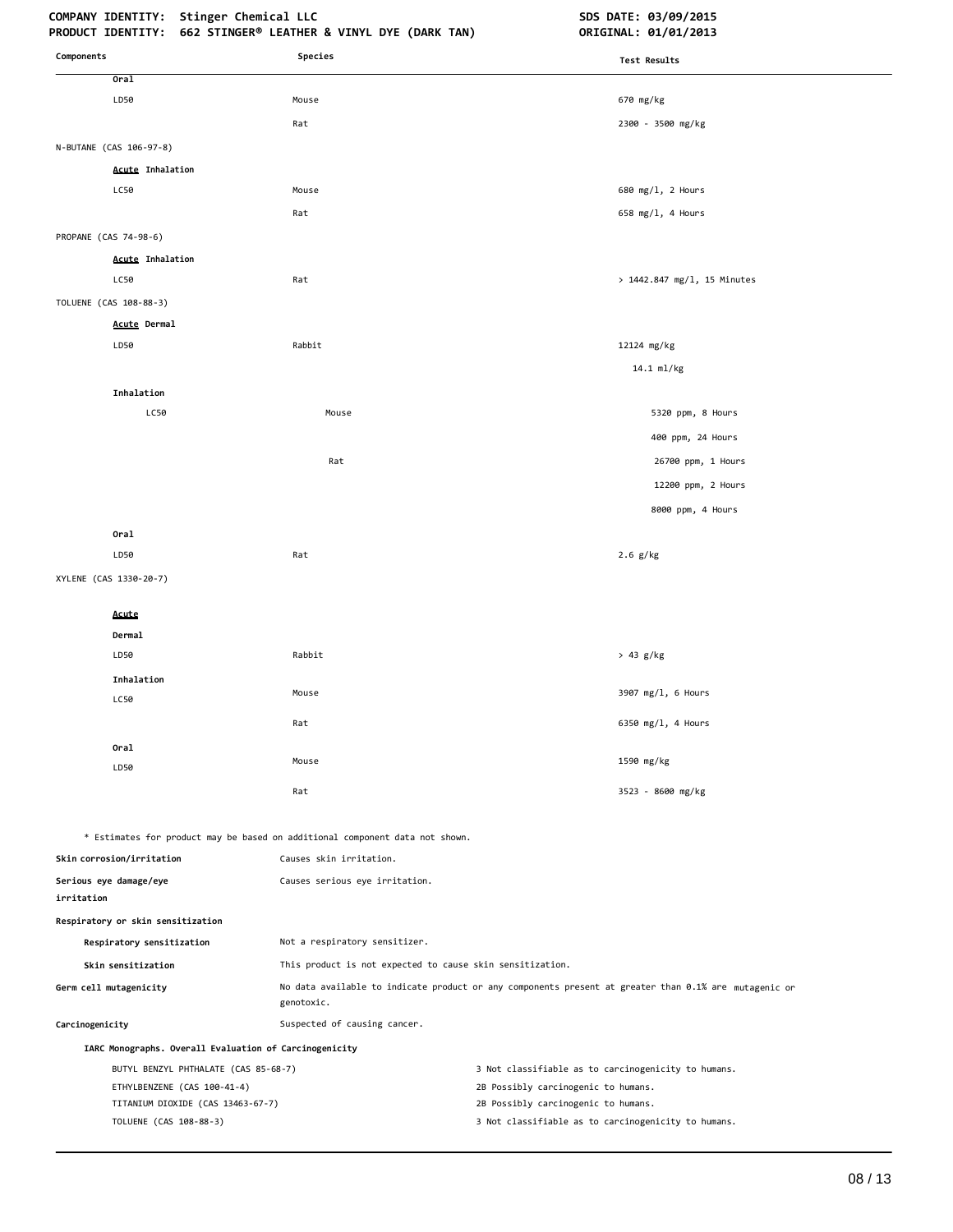## **COMPANY IDENTITY: Stinger Chemical LLC SDS DATE: 03/09/2015**

| Components                                             | Species                                                                      | <b>Test Results</b>                                                                                   |
|--------------------------------------------------------|------------------------------------------------------------------------------|-------------------------------------------------------------------------------------------------------|
| Oral                                                   |                                                                              |                                                                                                       |
| LD50                                                   | Mouse                                                                        | 670 mg/kg                                                                                             |
|                                                        | Rat                                                                          | 2300 - 3500 mg/kg                                                                                     |
| N-BUTANE (CAS 106-97-8)                                |                                                                              |                                                                                                       |
| <b>Acute Inhalation</b>                                |                                                                              |                                                                                                       |
| LC50                                                   | Mouse                                                                        | 680 mg/l, 2 Hours                                                                                     |
|                                                        | Rat                                                                          | 658 mg/l, 4 Hours                                                                                     |
| PROPANE (CAS 74-98-6)                                  |                                                                              |                                                                                                       |
| <b>Acute Inhalation</b>                                |                                                                              |                                                                                                       |
| LC50                                                   | Rat                                                                          | > 1442.847 mg/l, 15 Minutes                                                                           |
| TOLUENE (CAS 108-88-3)                                 |                                                                              |                                                                                                       |
| Acute Dermal                                           |                                                                              |                                                                                                       |
| LD50                                                   | Rabbit                                                                       | 12124 mg/kg                                                                                           |
|                                                        |                                                                              | 14.1 ml/kg                                                                                            |
| Inhalation                                             |                                                                              |                                                                                                       |
| LC50                                                   | Mouse                                                                        | 5320 ppm, 8 Hours                                                                                     |
|                                                        |                                                                              | 400 ppm, 24 Hours                                                                                     |
|                                                        | Rat                                                                          | 26700 ppm, 1 Hours                                                                                    |
|                                                        |                                                                              | 12200 ppm, 2 Hours                                                                                    |
|                                                        |                                                                              | 8000 ppm, 4 Hours                                                                                     |
| Oral                                                   |                                                                              |                                                                                                       |
| LD50                                                   | Rat                                                                          | $2.6$ g/kg                                                                                            |
| XYLENE (CAS 1330-20-7)                                 |                                                                              |                                                                                                       |
|                                                        |                                                                              |                                                                                                       |
| Acute<br>Dermal                                        |                                                                              |                                                                                                       |
| LD50                                                   | Rabbit                                                                       | > 43 g/kg                                                                                             |
| Inhalation                                             |                                                                              |                                                                                                       |
| LC50                                                   | Mouse                                                                        | 3907 mg/l, 6 Hours                                                                                    |
|                                                        | Rat                                                                          | 6350 mg/l, 4 Hours                                                                                    |
| Oral                                                   |                                                                              |                                                                                                       |
| LD50                                                   | Mouse                                                                        | 1590 mg/kg                                                                                            |
|                                                        | Rat                                                                          | 3523 - 8600 mg/kg                                                                                     |
|                                                        |                                                                              |                                                                                                       |
|                                                        | * Estimates for product may be based on additional component data not shown. |                                                                                                       |
| Skin corrosion/irritation                              | Causes skin irritation.                                                      |                                                                                                       |
| Serious eye damage/eye<br>irritation                   | Causes serious eye irritation.                                               |                                                                                                       |
| Respiratory or skin sensitization                      |                                                                              |                                                                                                       |
| Respiratory sensitization                              | Not a respiratory sensitizer.                                                |                                                                                                       |
| Skin sensitization                                     | This product is not expected to cause skin sensitization.                    |                                                                                                       |
| Germ cell mutagenicity                                 | genotoxic.                                                                   | No data available to indicate product or any components present at greater than 0.1% are mutagenic or |
| Carcinogenicity                                        | Suspected of causing cancer.                                                 |                                                                                                       |
| IARC Monographs. Overall Evaluation of Carcinogenicity |                                                                              |                                                                                                       |
| BUTYL BENZYL PHTHALATE (CAS 85-68-7)                   |                                                                              | 3 Not classifiable as to carcinogenicity to humans.                                                   |
| ETHYLBENZENE (CAS 100-41-4)                            |                                                                              | 2B Possibly carcinogenic to humans.                                                                   |
| TITANIUM DIOXIDE (CAS 13463-67-7)                      |                                                                              | 2B Possibly carcinogenic to humans.                                                                   |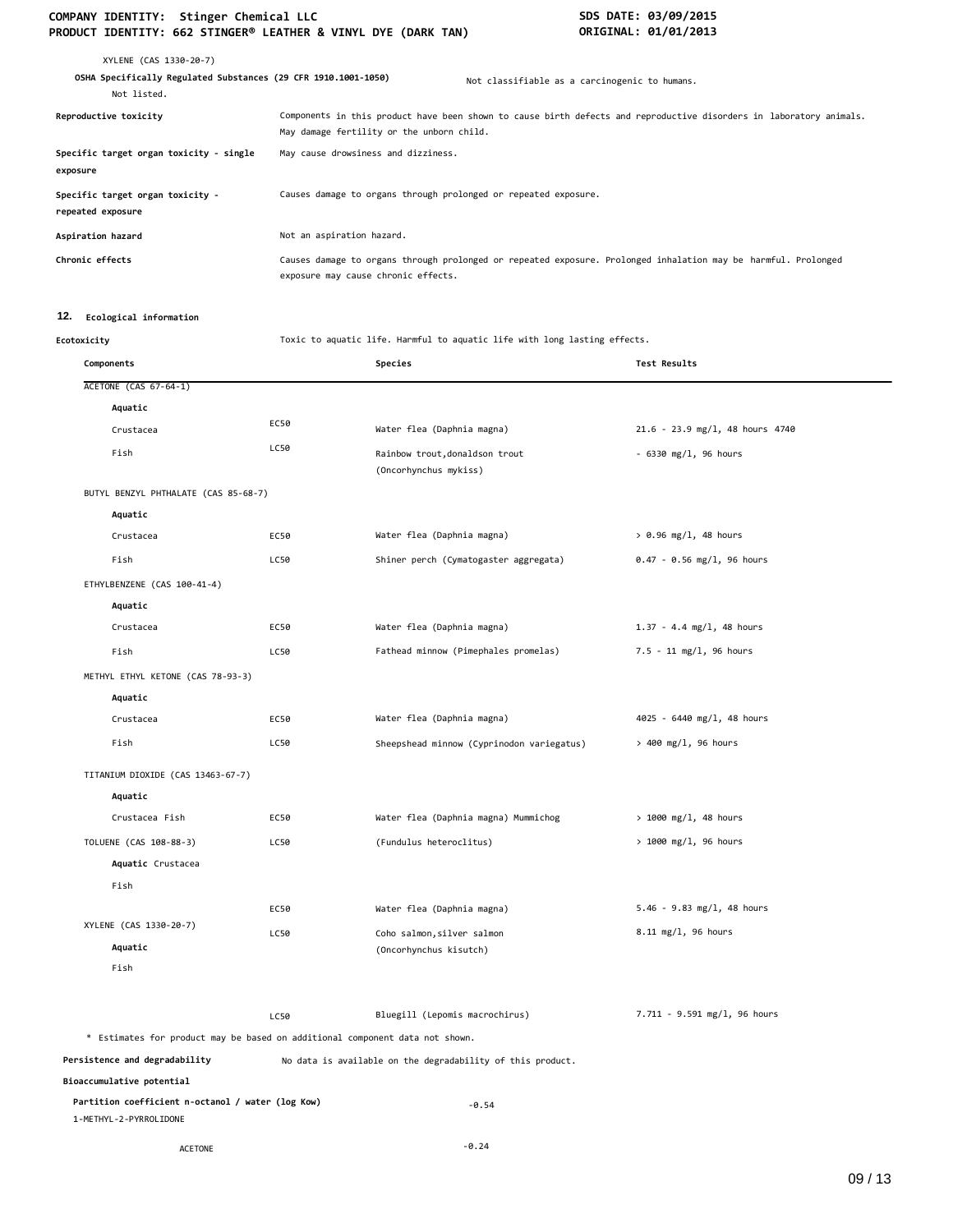| XYLENE (CAS 1330-20-7)                                                        |                                                                 |                                                                                                                     |
|-------------------------------------------------------------------------------|-----------------------------------------------------------------|---------------------------------------------------------------------------------------------------------------------|
| OSHA Specifically Regulated Substances (29 CFR 1910.1001-1050)<br>Not listed. |                                                                 | Not classifiable as a carcinogenic to humans.                                                                       |
| Reproductive toxicity                                                         | May damage fertility or the unborn child.                       | Components in this product have been shown to cause birth defects and reproductive disorders in laboratory animals. |
| Specific target organ toxicity - single<br>exposure                           | May cause drowsiness and dizziness.                             |                                                                                                                     |
| Specific target organ toxicity -<br>repeated exposure                         | Causes damage to organs through prolonged or repeated exposure. |                                                                                                                     |
| Aspiration hazard                                                             | Not an aspiration hazard.                                       |                                                                                                                     |
| Chronic effects                                                               | exposure may cause chronic effects.                             | Causes damage to organs through prolonged or repeated exposure. Prolonged inhalation may be harmful. Prolonged      |

#### **12. Ecological information**

**Ecotoxicity** Toxic to aquatic life. Harmful to aquatic life with long lasting effects.

| Components                                                                   |      | Species                                                    | <b>Test Results</b>             |
|------------------------------------------------------------------------------|------|------------------------------------------------------------|---------------------------------|
| <b>ACETONE (CAS 67-64-1)</b>                                                 |      |                                                            |                                 |
| Aquatic                                                                      |      |                                                            |                                 |
| Crustacea                                                                    | EC50 | Water flea (Daphnia magna)                                 | 21.6 - 23.9 mg/l, 48 hours 4740 |
| Fish                                                                         | LC50 | Rainbow trout, donaldson trout<br>(Oncorhynchus mykiss)    | - 6330 mg/l, 96 hours           |
| BUTYL BENZYL PHTHALATE (CAS 85-68-7)                                         |      |                                                            |                                 |
| Aquatic                                                                      |      |                                                            |                                 |
| Crustacea                                                                    | EC50 | Water flea (Daphnia magna)                                 | $> 0.96$ mg/l, 48 hours         |
| Fish                                                                         | LC50 | Shiner perch (Cymatogaster aggregata)                      | $0.47 - 0.56$ mg/l, 96 hours    |
| ETHYLBENZENE (CAS 100-41-4)                                                  |      |                                                            |                                 |
| Aquatic                                                                      |      |                                                            |                                 |
| Crustacea                                                                    | EC50 | Water flea (Daphnia magna)                                 | $1.37 - 4.4$ mg/l, 48 hours     |
| Fish                                                                         | LC50 | Fathead minnow (Pimephales promelas)                       | 7.5 - 11 mg/l, 96 hours         |
| METHYL ETHYL KETONE (CAS 78-93-3)                                            |      |                                                            |                                 |
| Aquatic                                                                      |      |                                                            |                                 |
| Crustacea                                                                    | EC50 | Water flea (Daphnia magna)                                 | 4025 - 6440 mg/l, 48 hours      |
| Fish                                                                         | LC50 | Sheepshead minnow (Cyprinodon variegatus)                  | $> 400$ mg/l, 96 hours          |
| TITANIUM DIOXIDE (CAS 13463-67-7)                                            |      |                                                            |                                 |
| Aquatic                                                                      |      |                                                            |                                 |
| Crustacea Fish                                                               | EC50 | Water flea (Daphnia magna) Mummichog                       | $> 1000$ mg/l, 48 hours         |
| TOLUENE (CAS 108-88-3)                                                       | LC50 | (Fundulus heteroclitus)                                    | > 1000 mg/l, 96 hours           |
| Aquatic Crustacea                                                            |      |                                                            |                                 |
| Fish                                                                         |      |                                                            |                                 |
|                                                                              | EC50 | Water flea (Daphnia magna)                                 | $5.46 - 9.83$ mg/l, 48 hours    |
| XYLENE (CAS 1330-20-7)                                                       | LC50 | Coho salmon, silver salmon                                 | 8.11 mg/l, 96 hours             |
| Aquatic                                                                      |      | (Oncorhynchus kisutch)                                     |                                 |
| Fish                                                                         |      |                                                            |                                 |
|                                                                              | LC50 | Bluegill (Lepomis macrochirus)                             | 7.711 - 9.591 mg/l, 96 hours    |
| * Estimates for product may be based on additional component data not shown. |      |                                                            |                                 |
| Persistence and degradability                                                |      | No data is available on the degradability of this product. |                                 |
| Bioaccumulative potential                                                    |      |                                                            |                                 |
| Partition coefficient n-octanol / water (log Kow)<br>1-METHYL-2-PYRROLIDONE  |      | $-0.54$                                                    |                                 |
| <b>ACETONE</b>                                                               |      | $-0.24$                                                    |                                 |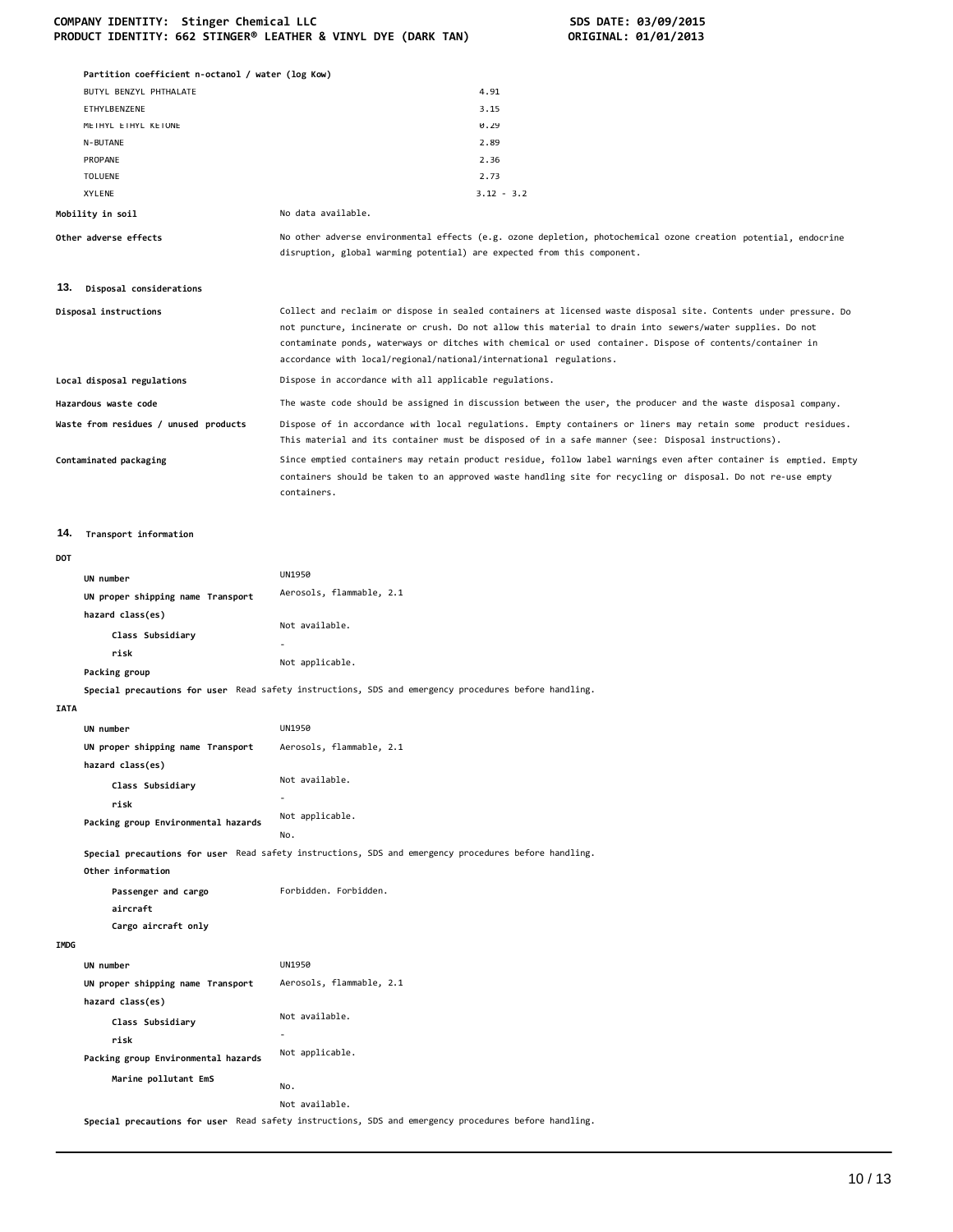|             | Partition coefficient n-octanol / water (log Kow)     |                                                                                                                                                                                                                                                                                                                                                                                                                  |
|-------------|-------------------------------------------------------|------------------------------------------------------------------------------------------------------------------------------------------------------------------------------------------------------------------------------------------------------------------------------------------------------------------------------------------------------------------------------------------------------------------|
|             | BUTYL BENZYL PHTHALATE                                | 4.91                                                                                                                                                                                                                                                                                                                                                                                                             |
|             | ETHYLBENZENE                                          | 3.15                                                                                                                                                                                                                                                                                                                                                                                                             |
|             | METHYL ETHYL KETONE                                   | 0.29                                                                                                                                                                                                                                                                                                                                                                                                             |
|             | N-BUTANE                                              | 2.89                                                                                                                                                                                                                                                                                                                                                                                                             |
|             | PROPANE                                               | 2.36                                                                                                                                                                                                                                                                                                                                                                                                             |
|             | <b>TOLUENE</b><br><b>XYLENE</b>                       | 2.73<br>$3.12 - 3.2$                                                                                                                                                                                                                                                                                                                                                                                             |
|             | Mobility in soil                                      | No data available.                                                                                                                                                                                                                                                                                                                                                                                               |
|             | Other adverse effects                                 | No other adverse environmental effects (e.g. ozone depletion, photochemical ozone creation potential, endocrine                                                                                                                                                                                                                                                                                                  |
|             |                                                       | disruption, global warming potential) are expected from this component.                                                                                                                                                                                                                                                                                                                                          |
|             | 13. Disposal considerations                           |                                                                                                                                                                                                                                                                                                                                                                                                                  |
|             | Disposal instructions                                 | Collect and reclaim or dispose in sealed containers at licensed waste disposal site. Contents under pressure. Do<br>not puncture, incinerate or crush. Do not allow this material to drain into sewers/water supplies. Do not<br>contaminate ponds, waterways or ditches with chemical or used container. Dispose of contents/container in<br>accordance with local/regional/national/international regulations. |
|             | Local disposal regulations                            | Dispose in accordance with all applicable regulations.                                                                                                                                                                                                                                                                                                                                                           |
|             | Hazardous waste code                                  | The waste code should be assigned in discussion between the user, the producer and the waste disposal company.                                                                                                                                                                                                                                                                                                   |
|             | Waste from residues / unused products                 | Dispose of in accordance with local regulations. Empty containers or liners may retain some product residues.<br>This material and its container must be disposed of in a safe manner (see: Disposal instructions).                                                                                                                                                                                              |
|             | Contaminated packaging                                | Since emptied containers may retain product residue, follow label warnings even after container is emptied. Empty<br>containers should be taken to an approved waste handling site for recycling or disposal. Do not re-use empty<br>containers.                                                                                                                                                                 |
| 14.         | Transport information                                 |                                                                                                                                                                                                                                                                                                                                                                                                                  |
| <b>DOT</b>  |                                                       |                                                                                                                                                                                                                                                                                                                                                                                                                  |
|             | UN number                                             | UN1950                                                                                                                                                                                                                                                                                                                                                                                                           |
|             | UN proper shipping name Transport                     | Aerosols, flammable, 2.1                                                                                                                                                                                                                                                                                                                                                                                         |
|             | hazard class(es)                                      |                                                                                                                                                                                                                                                                                                                                                                                                                  |
|             | Class Subsidiary                                      | Not available.                                                                                                                                                                                                                                                                                                                                                                                                   |
|             | risk                                                  |                                                                                                                                                                                                                                                                                                                                                                                                                  |
|             | Packing group                                         | Not applicable.                                                                                                                                                                                                                                                                                                                                                                                                  |
|             |                                                       | Special precautions for user Read safety instructions, SDS and emergency procedures before handling.                                                                                                                                                                                                                                                                                                             |
| <b>IATA</b> |                                                       |                                                                                                                                                                                                                                                                                                                                                                                                                  |
|             |                                                       |                                                                                                                                                                                                                                                                                                                                                                                                                  |
|             | UN number                                             | UN1950                                                                                                                                                                                                                                                                                                                                                                                                           |
|             | UN proper shipping name Transport                     | Aerosols, flammable, 2.1                                                                                                                                                                                                                                                                                                                                                                                         |
|             | hazard class(es)                                      | Not available.                                                                                                                                                                                                                                                                                                                                                                                                   |
|             | Class Subsidiary                                      |                                                                                                                                                                                                                                                                                                                                                                                                                  |
|             | risk                                                  |                                                                                                                                                                                                                                                                                                                                                                                                                  |
|             | Packing group Environmental hazards                   | Not applicable.<br>No.                                                                                                                                                                                                                                                                                                                                                                                           |
|             | Other information                                     | Special precautions for user Read safety instructions, SDS and emergency procedures before handling.                                                                                                                                                                                                                                                                                                             |
|             | Passenger and cargo<br>aircraft                       | Forbidden. Forbidden.                                                                                                                                                                                                                                                                                                                                                                                            |
|             | Cargo aircraft only                                   |                                                                                                                                                                                                                                                                                                                                                                                                                  |
| <b>IMDG</b> |                                                       |                                                                                                                                                                                                                                                                                                                                                                                                                  |
|             |                                                       | <b>UN1950</b>                                                                                                                                                                                                                                                                                                                                                                                                    |
|             | UN number                                             |                                                                                                                                                                                                                                                                                                                                                                                                                  |
|             | UN proper shipping name Transport<br>hazard class(es) | Aerosols, flammable, 2.1                                                                                                                                                                                                                                                                                                                                                                                         |
|             | Class Subsidiary                                      | Not available.                                                                                                                                                                                                                                                                                                                                                                                                   |
|             | risk                                                  |                                                                                                                                                                                                                                                                                                                                                                                                                  |
|             | Packing group Environmental hazards                   | Not applicable.                                                                                                                                                                                                                                                                                                                                                                                                  |
|             | Marine pollutant EmS                                  |                                                                                                                                                                                                                                                                                                                                                                                                                  |

Not available.

No.

**Special precautions for user** Read safety instructions, SDS and emergency procedures before handling.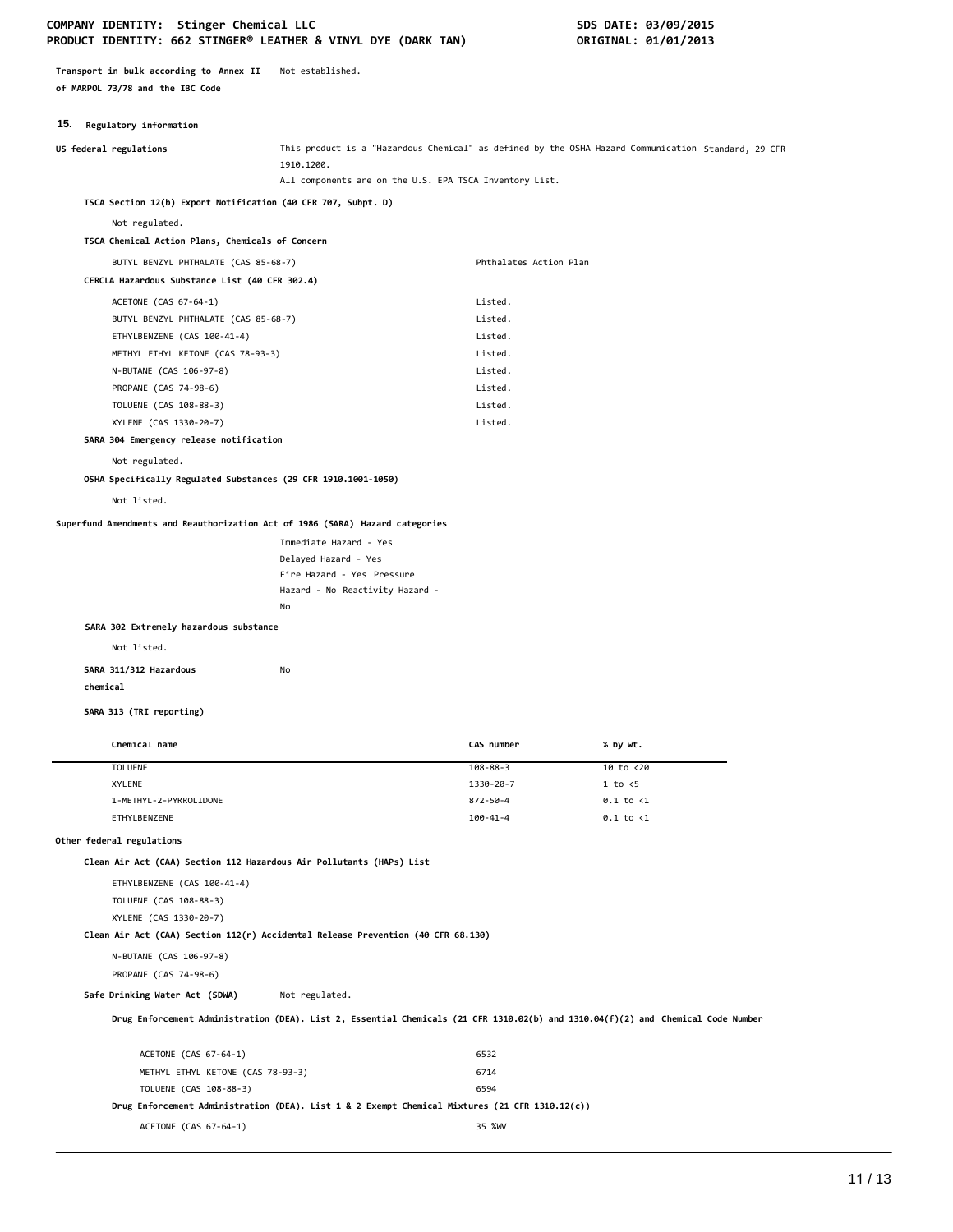**Transport in bulk according to Annex II** Not established. **of MARPOL 73/78 and the IBC Code**

#### **15. Regulatory information**

| $mc5$ $m4$ $m5$ $m6$ $m7$ $m8$ $m1$                                              |                                                         |                        |                                                                                                                                  |
|----------------------------------------------------------------------------------|---------------------------------------------------------|------------------------|----------------------------------------------------------------------------------------------------------------------------------|
| US federal regulations                                                           | 1910.1200.                                              |                        | This product is a "Hazardous Chemical" as defined by the OSHA Hazard Communication Standard, 29 CFR                              |
|                                                                                  | All components are on the U.S. EPA TSCA Inventory List. |                        |                                                                                                                                  |
| TSCA Section 12(b) Export Notification (40 CFR 707, Subpt. D)                    |                                                         |                        |                                                                                                                                  |
| Not regulated.                                                                   |                                                         |                        |                                                                                                                                  |
| TSCA Chemical Action Plans, Chemicals of Concern                                 |                                                         |                        |                                                                                                                                  |
| BUTYL BENZYL PHTHALATE (CAS 85-68-7)                                             |                                                         | Phthalates Action Plan |                                                                                                                                  |
| CERCLA Hazardous Substance List (40 CFR 302.4)                                   |                                                         |                        |                                                                                                                                  |
| ACETONE (CAS 67-64-1)                                                            |                                                         | Listed.                |                                                                                                                                  |
| BUTYL BENZYL PHTHALATE (CAS 85-68-7)                                             |                                                         | Listed.                |                                                                                                                                  |
| ETHYLBENZENE (CAS 100-41-4)                                                      |                                                         | Listed.                |                                                                                                                                  |
| METHYL ETHYL KETONE (CAS 78-93-3)                                                |                                                         | Listed.                |                                                                                                                                  |
| N-BUTANE (CAS 106-97-8)                                                          |                                                         | Listed.                |                                                                                                                                  |
| PROPANE (CAS 74-98-6)                                                            |                                                         | Listed.                |                                                                                                                                  |
| TOLUENE (CAS 108-88-3)                                                           |                                                         | Listed.                |                                                                                                                                  |
| XYLENE (CAS 1330-20-7)                                                           |                                                         | Listed.                |                                                                                                                                  |
| SARA 304 Emergency release notification                                          |                                                         |                        |                                                                                                                                  |
| Not regulated.                                                                   |                                                         |                        |                                                                                                                                  |
| OSHA Specifically Regulated Substances (29 CFR 1910.1001-1050)                   |                                                         |                        |                                                                                                                                  |
| Not listed.                                                                      |                                                         |                        |                                                                                                                                  |
| Superfund Amendments and Reauthorization Act of 1986 (SARA) Hazard categories    |                                                         |                        |                                                                                                                                  |
|                                                                                  | Immediate Hazard - Yes                                  |                        |                                                                                                                                  |
|                                                                                  | Delayed Hazard - Yes                                    |                        |                                                                                                                                  |
|                                                                                  | Fire Hazard - Yes Pressure                              |                        |                                                                                                                                  |
|                                                                                  | Hazard - No Reactivity Hazard -                         |                        |                                                                                                                                  |
|                                                                                  | No                                                      |                        |                                                                                                                                  |
| SARA 302 Extremely hazardous substance                                           |                                                         |                        |                                                                                                                                  |
| Not listed.                                                                      |                                                         |                        |                                                                                                                                  |
| SARA 311/312 Hazardous                                                           | No                                                      |                        |                                                                                                                                  |
| chemical                                                                         |                                                         |                        |                                                                                                                                  |
| SARA 313 (TRI reporting)                                                         |                                                         |                        |                                                                                                                                  |
| Chemical name                                                                    |                                                         | CAS number             | % by wt.                                                                                                                         |
| <b>TOLUENE</b>                                                                   |                                                         | $108 - 88 - 3$         | 10 to <20                                                                                                                        |
| XYLENE                                                                           |                                                         | 1330-20-7              | 1 to < 5                                                                                                                         |
| 1-METHYL-2-PYRROLIDONE                                                           |                                                         | $872 - 50 - 4$         | $0.1$ to $\langle 1$                                                                                                             |
| ETHYLBENZENE                                                                     |                                                         | $100 - 41 - 4$         | $0.1$ to $\langle 1$                                                                                                             |
| Other federal regulations                                                        |                                                         |                        |                                                                                                                                  |
| Clean Air Act (CAA) Section 112 Hazardous Air Pollutants (HAPs) List             |                                                         |                        |                                                                                                                                  |
| ETHYLBENZENE (CAS 100-41-4)                                                      |                                                         |                        |                                                                                                                                  |
| TOLUENE (CAS 108-88-3)                                                           |                                                         |                        |                                                                                                                                  |
| XYLENE (CAS 1330-20-7)                                                           |                                                         |                        |                                                                                                                                  |
| Clean Air Act (CAA) Section 112(r) Accidental Release Prevention (40 CFR 68.130) |                                                         |                        |                                                                                                                                  |
| N-BUTANE (CAS 106-97-8)                                                          |                                                         |                        |                                                                                                                                  |
| PROPANE (CAS 74-98-6)                                                            |                                                         |                        |                                                                                                                                  |
|                                                                                  |                                                         |                        |                                                                                                                                  |
| Safe Drinking Water Act (SDWA)                                                   | Not regulated.                                          |                        |                                                                                                                                  |
|                                                                                  |                                                         |                        | Drug Enforcement Administration (DEA). List 2, Essential Chemicals (21 CFR 1310.02(b) and 1310.04(f)(2) and Chemical Code Number |
|                                                                                  |                                                         |                        |                                                                                                                                  |
| ACETONE (CAS 67-64-1)<br>METHYL ETHYL KETONE (CAS 78-93-3)                       |                                                         | 6532<br>6714           |                                                                                                                                  |

**Drug Enforcement Administration (DEA). List 1 & 2 Exempt Chemical Mixtures (21 CFR 1310.12(c))**

ACETONE (CAS 67-64-1) 35 %W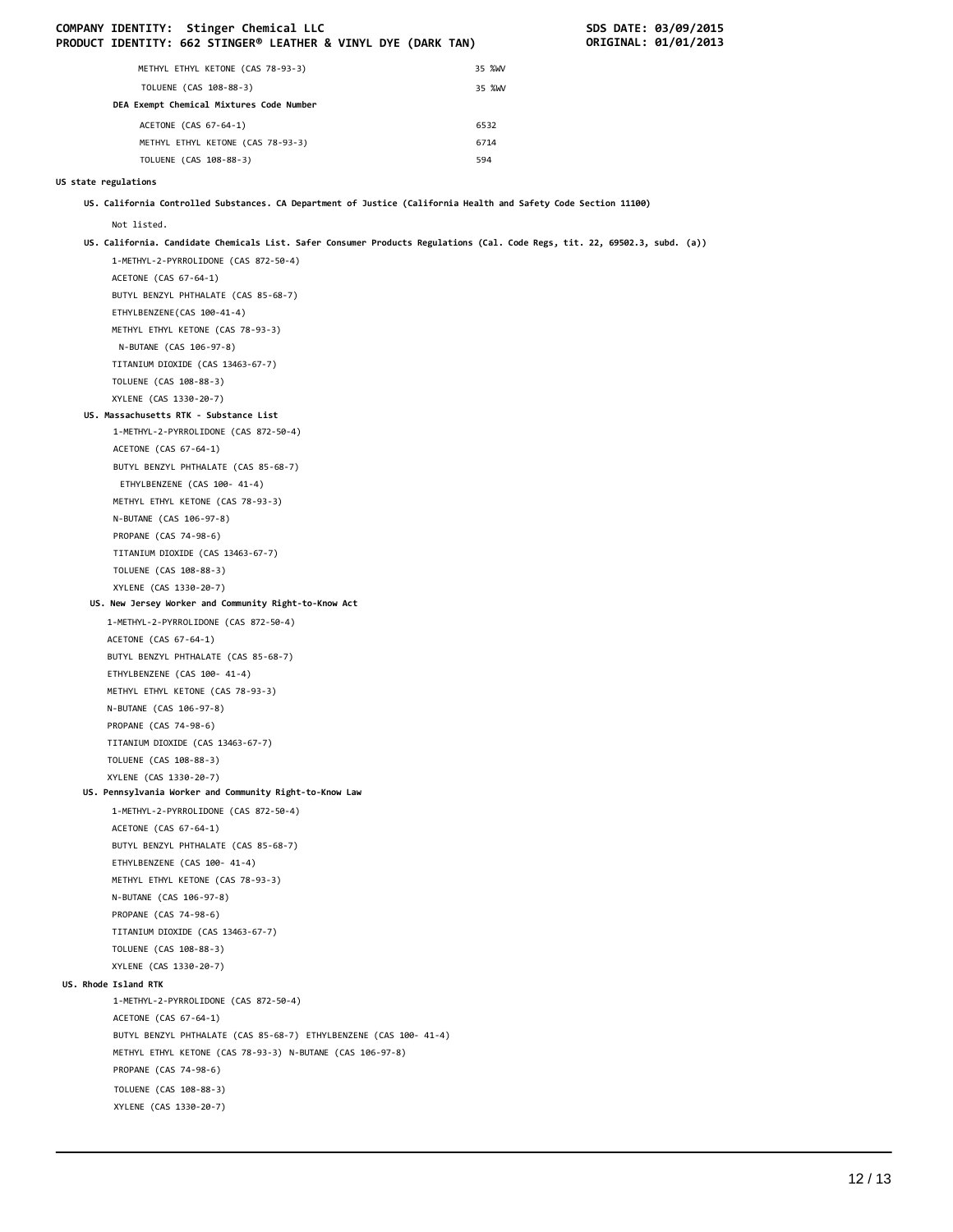|                      |                              | COMPANY IDENTITY: Stinger Chemical LLC<br>PRODUCT IDENTITY: 662 STINGER® LEATHER & VINYL DYE (DARK TAN)                     |        | SDS DATE: 03/09/2015<br>ORIGINAL: 01/01/2013 |
|----------------------|------------------------------|-----------------------------------------------------------------------------------------------------------------------------|--------|----------------------------------------------|
|                      |                              | METHYL ETHYL KETONE (CAS 78-93-3)                                                                                           | 35 %WV |                                              |
|                      |                              | TOLUENE (CAS 108-88-3)                                                                                                      | 35 %WV |                                              |
|                      |                              | DEA Exempt Chemical Mixtures Code Number                                                                                    |        |                                              |
|                      |                              |                                                                                                                             | 6532   |                                              |
|                      |                              | ACETONE (CAS 67-64-1)<br>METHYL ETHYL KETONE (CAS 78-93-3)                                                                  | 6714   |                                              |
|                      |                              | TOLUENE (CAS 108-88-3)                                                                                                      | 594    |                                              |
|                      |                              |                                                                                                                             |        |                                              |
| US state regulations |                              |                                                                                                                             |        |                                              |
|                      |                              | US. California Controlled Substances. CA Department of Justice (California Health and Safety Code Section 11100)            |        |                                              |
|                      | Not listed.                  |                                                                                                                             |        |                                              |
|                      |                              | US. California. Candidate Chemicals List. Safer Consumer Products Regulations (Cal. Code Regs, tit. 22, 69502.3, subd. (a)) |        |                                              |
|                      |                              | 1-METHYL-2-PYRROLIDONE (CAS 872-50-4)                                                                                       |        |                                              |
|                      | ACETONE (CAS 67-64-1)        |                                                                                                                             |        |                                              |
|                      |                              | BUTYL BENZYL PHTHALATE (CAS 85-68-7)                                                                                        |        |                                              |
|                      | ETHYLBENZENE(CAS 100-41-4)   |                                                                                                                             |        |                                              |
|                      |                              | METHYL ETHYL KETONE (CAS 78-93-3)                                                                                           |        |                                              |
|                      | N-BUTANE (CAS 106-97-8)      |                                                                                                                             |        |                                              |
|                      | TOLUENE (CAS 108-88-3)       | TITANIUM DIOXIDE (CAS 13463-67-7)                                                                                           |        |                                              |
|                      | XYLENE (CAS 1330-20-7)       |                                                                                                                             |        |                                              |
|                      |                              | US. Massachusetts RTK - Substance List                                                                                      |        |                                              |
|                      |                              | 1-METHYL-2-PYRROLIDONE (CAS 872-50-4)                                                                                       |        |                                              |
|                      | ACETONE (CAS 67-64-1)        |                                                                                                                             |        |                                              |
|                      |                              | BUTYL BENZYL PHTHALATE (CAS 85-68-7)                                                                                        |        |                                              |
|                      |                              | ETHYLBENZENE (CAS 100- 41-4)                                                                                                |        |                                              |
|                      |                              | METHYL ETHYL KETONE (CAS 78-93-3)                                                                                           |        |                                              |
|                      | N-BUTANE (CAS 106-97-8)      |                                                                                                                             |        |                                              |
|                      | PROPANE (CAS 74-98-6)        |                                                                                                                             |        |                                              |
|                      |                              | TITANIUM DIOXIDE (CAS 13463-67-7)                                                                                           |        |                                              |
|                      | TOLUENE (CAS 108-88-3)       |                                                                                                                             |        |                                              |
|                      | XYLENE (CAS 1330-20-7)       |                                                                                                                             |        |                                              |
|                      |                              | US. New Jersey Worker and Community Right-to-Know Act                                                                       |        |                                              |
|                      | ACETONE (CAS 67-64-1)        | 1-METHYL-2-PYRROLIDONE (CAS 872-50-4)                                                                                       |        |                                              |
|                      |                              | BUTYL BENZYL PHTHALATE (CAS 85-68-7)                                                                                        |        |                                              |
|                      | ETHYLBENZENE (CAS 100- 41-4) |                                                                                                                             |        |                                              |
|                      |                              | METHYL ETHYL KETONE (CAS 78-93-3)                                                                                           |        |                                              |
|                      | N-BUTANE (CAS 106-97-8)      |                                                                                                                             |        |                                              |
|                      | PROPANE (CAS 74-98-6)        |                                                                                                                             |        |                                              |
|                      |                              | TITANIUM DIOXIDE (CAS 13463-67-7)                                                                                           |        |                                              |
|                      | TOLUENE (CAS 108-88-3)       |                                                                                                                             |        |                                              |
|                      | XYLENE (CAS 1330-20-7)       |                                                                                                                             |        |                                              |
|                      |                              | US. Pennsylvania Worker and Community Right-to-Know Law                                                                     |        |                                              |
|                      |                              | 1-METHYL-2-PYRROLIDONE (CAS 872-50-4)                                                                                       |        |                                              |
|                      | ACETONE (CAS 67-64-1)        |                                                                                                                             |        |                                              |
|                      |                              | BUTYL BENZYL PHTHALATE (CAS 85-68-7)                                                                                        |        |                                              |
|                      | ETHYLBENZENE (CAS 100- 41-4) | METHYL ETHYL KETONE (CAS 78-93-3)                                                                                           |        |                                              |
|                      | N-BUTANE (CAS 106-97-8)      |                                                                                                                             |        |                                              |
|                      | PROPANE (CAS 74-98-6)        |                                                                                                                             |        |                                              |
|                      |                              | TITANIUM DIOXIDE (CAS 13463-67-7)                                                                                           |        |                                              |
|                      | TOLUENE (CAS 108-88-3)       |                                                                                                                             |        |                                              |
|                      | XYLENE (CAS 1330-20-7)       |                                                                                                                             |        |                                              |
|                      | US. Rhode Island RTK         |                                                                                                                             |        |                                              |
|                      |                              | 1-METHYL-2-PYRROLIDONE (CAS 872-50-4)                                                                                       |        |                                              |
|                      | ACETONE (CAS 67-64-1)        |                                                                                                                             |        |                                              |
|                      |                              | BUTYL BENZYL PHTHALATE (CAS 85-68-7) ETHYLBENZENE (CAS 100- 41-4)                                                           |        |                                              |
|                      |                              | METHYL ETHYL KETONE (CAS 78-93-3) N-BUTANE (CAS 106-97-8)                                                                   |        |                                              |
|                      | PROPANE (CAS 74-98-6)        |                                                                                                                             |        |                                              |
|                      | TOLUENE (CAS 108-88-3)       |                                                                                                                             |        |                                              |
|                      | XYLENE (CAS 1330-20-7)       |                                                                                                                             |        |                                              |